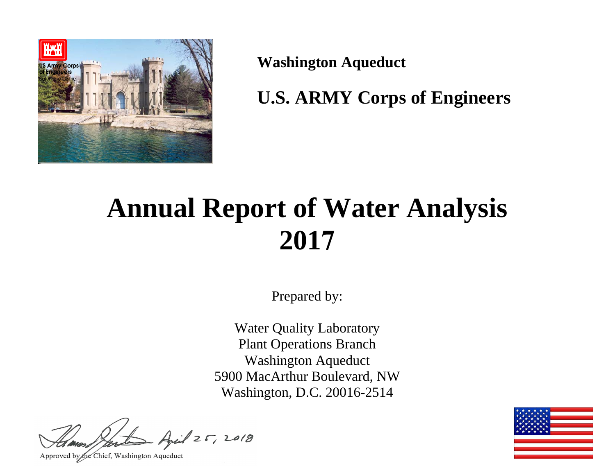

**Washington Aqueduct** 

**U.S. ARMY Corps of Engineers** 

# **Annual Report of Water Analysis 2017**

Prepared by:

Water Quality Laboratory Plant Operations Branch Washington Aqueduct 5900 MacArthur Boulevard, NW Washington, D.C. 20016-2514

 $125, 2018$ 

Approved by the Chief, Washington Aqueduct

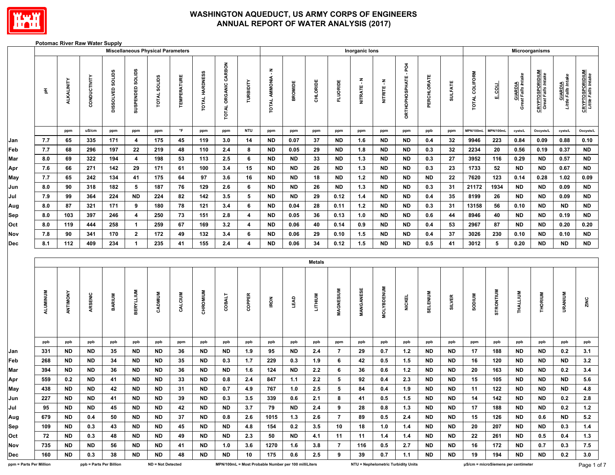

#### **Potomac River Raw Water Supply**

|                         |          |                   |                         |                            | <b>Miscellaneous Physical Parameters</b> |                   |                    |                |                      |                                                      |                   |                |                |                 | Inorganic lons |                   |                                     |             |                |                |                                     |                                      | Microorganisms                               |                                |                                               |
|-------------------------|----------|-------------------|-------------------------|----------------------------|------------------------------------------|-------------------|--------------------|----------------|----------------------|------------------------------------------------------|-------------------|----------------|----------------|-----------------|----------------|-------------------|-------------------------------------|-------------|----------------|----------------|-------------------------------------|--------------------------------------|----------------------------------------------|--------------------------------|-----------------------------------------------|
|                         | 품        | <b>ALKALINITY</b> | CONDUCTIVITY            | <b>SOLIDS</b><br>DISSOLVED | SUSPENDED SOLIDS                         | TOTAL SOLIDS      | <b>TEMPERATURE</b> | TOTAL HARDNESS | TOTAL ORGANIC CARBON | TURBIDITY                                            | TOTAL AMMONIA - N | <b>BROMIDE</b> | CHLORIDE       | <b>FLUORIDE</b> | NITRATE-N      | NITRITE - N       | ORTHOPHOSPHATE - PO4                | PERCHLORATE | <b>SULFATE</b> | TOTAL COLIFORM | <b>F</b> COLL                       | <b>GIARDIA</b><br>Great Falls Intake | <b>CRYPTOSPORIDIUM</b><br>Great Falls Intake | GIARDIA<br>Little Falls Intake | <b>CRYPTOSPORIDIUM</b><br>Little Falls Intake |
|                         |          | ppm               | uS/cm                   | ppm                        | ppm                                      | ppm               | $\circ$ F          | ppm            | ppm                  | <b>NTU</b>                                           | ppm               | ppm            | ppm            | ppm             | ppm            | ppm               | ppm                                 | ppb         | ppm            | MPN/100mL      | MPN/100mL                           | cysts/L                              | Oocysts/L                                    | cysts/L                        | Oocysts/L                                     |
| Jan                     | 7.7      | 65                | 335                     | 171                        | $\overline{\mathbf{4}}$                  | 175               | 45                 | 119            | 3.0                  | 14                                                   | <b>ND</b>         | 0.07           | 37             | <b>ND</b>       | 1.6            | <b>ND</b>         | <b>ND</b>                           | 0.4         | 32             | 9946           | 223                                 | 0.84                                 | 0.09                                         | 0.88                           | 0.10                                          |
| Feb                     | 7.7      | 68                | 296                     | 197                        | 22                                       | 219               | 48                 | 110            | 2.4                  | 8                                                    | <b>ND</b>         | 0.05           | 29             | <b>ND</b>       | 1.8            | <b>ND</b>         | <b>ND</b>                           | 0.3         | 32             | 2234           | 20                                  | 0.56                                 | 0.19                                         | 0.37                           | <b>ND</b>                                     |
| Mar                     | 8.0      | 69                | 322                     | 194                        | $\overline{\mathbf{4}}$                  | 198               | 53                 | 113            | 2.5                  | 6                                                    | <b>ND</b>         | <b>ND</b>      | 33             | <b>ND</b>       | $1.3$          | <b>ND</b>         | <b>ND</b>                           | 0.3         | 27             | 3952           | 116                                 | 0.29                                 | <b>ND</b>                                    | 0.57                           | <b>ND</b>                                     |
| Apr                     | 7.6      | 66                | 271                     | 142                        | 29                                       | 171               | 61                 | 100            | 3.4                  | 15                                                   | <b>ND</b>         | <b>ND</b>      | 26             | <b>ND</b>       | $1.3$          | <b>ND</b>         | <b>ND</b>                           | 0.3         | 23             | 1733           | 52                                  | <b>ND</b>                            | <b>ND</b>                                    | 0.67                           | <b>ND</b>                                     |
| May                     | 7.7      | 65                | 242                     | 134                        | 41                                       | 175               | 64                 | 97             | 3.6                  | 16                                                   | <b>ND</b>         | <b>ND</b>      | 18             | <b>ND</b>       | $1.2$          | <b>ND</b>         | <b>ND</b>                           | <b>ND</b>   | 22             | 7620           | 123                                 | 0.14                                 | 0.28                                         | 1.02                           | 0.09                                          |
| Jun                     | 8.0      | 90                | 318                     | 182                        | 5                                        | 187               | 76                 | 129            | 2.6                  | 6                                                    | <b>ND</b>         | <b>ND</b>      | 26             | <b>ND</b>       | $1.3$          | <b>ND</b>         | <b>ND</b>                           | 0.3         | 31             | 21172          | 1934                                | ${\sf ND}$                           | <b>ND</b>                                    | 0.09                           | <b>ND</b>                                     |
| Jul                     | 7.9      | 99                | 364                     | 224                        | <b>ND</b>                                | 224               | 82                 | 142            | 3.5                  | 5                                                    | <b>ND</b>         | <b>ND</b>      | 29             | 0.12            | $1.4$          | <b>ND</b>         | <b>ND</b>                           | 0.4         | 35             | 8199           | 26                                  | <b>ND</b>                            | <b>ND</b>                                    | 0.09                           | <b>ND</b>                                     |
| Aug                     | 8.0      | 87                | 321                     | 171                        | 9                                        | 180               | 78                 | 121            | 3.4                  | $6\phantom{.0}$                                      | <b>ND</b>         | 0.04           | 28             | 0.11            | $1.2$          | <b>ND</b>         | <b>ND</b>                           | 0.3         | 31             | 13158          | 56                                  | 0.10                                 | <b>ND</b>                                    | <b>ND</b>                      | <b>ND</b>                                     |
| Sep                     | 8.0      | 103               | 397                     | 246                        | $\overline{\mathbf{4}}$                  | 250               | 73                 | 151            | 2.8                  | $\overline{\mathbf{4}}$                              | <b>ND</b>         | $0.05\,$       | 36             | 0.13            | $1.0\,$        | <b>ND</b>         | <b>ND</b>                           | 0.6         | 44             | 8946           | 40                                  | <b>ND</b>                            | <b>ND</b>                                    | 0.19                           | $\sf ND$                                      |
| Oct                     | 8.0      | 119               | 444                     | 258                        | $\blacktriangleleft$                     | 259               | 67                 | 169            | 3.2                  | $\overline{\mathbf{4}}$                              | <b>ND</b>         | 0.06           | 40             | 0.14            | $0.9\,$        | <b>ND</b>         | <b>ND</b>                           | 0.4         | 53             | 2967           | 87                                  | <b>ND</b>                            | <b>ND</b>                                    | 0.20                           | 0.20                                          |
| Nov                     | 7.8      | 90                | 341                     | 170                        | $\overline{2}$                           | 172               | 49                 | 132            | $3.4\,$              | 6                                                    | <b>ND</b>         | 0.06           | 29             | 0.10            | 1.5            | $\sf ND$          | <b>ND</b>                           | 0.4         | 37             | 3026           | 230                                 | 0.10                                 | <b>ND</b>                                    | 0.10                           | $\sf ND$                                      |
| Dec                     | 8.1      | 112               | 409                     | 234                        | $\mathbf{1}$                             | 235               | 41                 | 155            | 2.4                  | $\overline{\mathbf{4}}$                              | <b>ND</b>         | 0.06           | 34             | 0.12            | 1.5            | <b>ND</b>         | <b>ND</b>                           | $0.5\,$     | 41             | 3012           | 5                                   | 0.20                                 | <b>ND</b>                                    | <b>ND</b>                      | $\sf ND$                                      |
|                         |          |                   |                         |                            |                                          |                   |                    |                |                      |                                                      |                   |                | <b>Metals</b>  |                 |                |                   |                                     |             |                |                |                                     |                                      |                                              |                                |                                               |
|                         | ALUMINUM | ANTIMONY          | ARSENIC                 | BARIUM                     | <b>BERYLLIUM</b>                         | CADMIUM           | CALCIUM            | CHROMIUM       | <b>COBALT</b>        | COPPER                                               | <b>IRON</b>       | <b>LEAD</b>    | <b>LITHIUM</b> | MAGNESIUM       | MANGANESE      | <b>MOLYBDENUM</b> | <b>NICKEL</b>                       | SELENIUM    | <b>SILVER</b>  | <b>NUIGOS</b>  | <b>STRONTIUM</b>                    | THALLIUM                             | THORIUM                                      | URANIUM                        | ZINC                                          |
|                         | ppb      | ppb               | ppb                     | ppb                        | ppb                                      | ppb               | ppm                | ppb            | ppb                  | ppb                                                  | ppb               | ppb            | ppb            | ppm             | ppb            | ppb               | ppb                                 | ppb         | ppb            | ppm            | ppb                                 | ppb                                  | ppb                                          | ppb                            | ppb                                           |
| Jan                     | 331      | <b>ND</b>         | <b>ND</b>               | 35                         | ND                                       | ND                | 36                 | <b>ND</b>      | <b>ND</b>            | 1.9                                                  | 95                | <b>ND</b>      | 2.4            | $\overline{7}$  | 29             | 0.7               | $1.2$                               | <b>ND</b>   | <b>ND</b>      | 17             | 188                                 | <b>ND</b>                            | <b>ND</b>                                    | 0.2                            | 3.1                                           |
| Feb                     | 268      | <b>ND</b>         | <b>ND</b>               | 34                         | <b>ND</b>                                | ND                | 35                 | <b>ND</b>      | 0.3                  | 1.7                                                  | 229               | 0.3            | 1.9            | 6               | 42             | 0.5               | 1.5                                 | <b>ND</b>   | <b>ND</b>      | 16             | 120                                 | <b>ND</b>                            | <b>ND</b>                                    | <b>ND</b>                      | 3.2                                           |
| Mar                     | 394      | <b>ND</b>         | $\sf ND$                | 36                         | <b>ND</b>                                | <b>ND</b>         | 36                 | <b>ND</b>      | <b>ND</b>            | $1.6$                                                | 124               | <b>ND</b>      | $2.2\,$        | 6               | 36             | $0.6\,$           | $1.2$                               | <b>ND</b>   | <b>ND</b>      | 20             | 163                                 | <b>ND</b>                            | <b>ND</b>                                    | 0.2                            | $3.4\,$                                       |
| Apr                     | 559      | 0.2               | <b>ND</b>               | 41                         | <b>ND</b>                                | <b>ND</b>         | 33                 | <b>ND</b>      | 0.8                  | $2.4\,$                                              | 847               | 1.1            | $2.2\,$        | 5               | 92             | 0.4               | $2.3\,$                             | <b>ND</b>   | <b>ND</b>      | 15             | 105                                 | <b>ND</b>                            | <b>ND</b>                                    | <b>ND</b>                      | $5.6\,$                                       |
| May                     | 438      | <b>ND</b>         | $\sf ND$                | 42                         | <b>ND</b>                                | <b>ND</b>         | 31                 | <b>ND</b>      | 0.7                  | 4.9                                                  | 767               | $1.0\,$        | 2.5            | $5\phantom{.0}$ | 84             | 0.4               | 1.9                                 | <b>ND</b>   | <b>ND</b>      | 11             | 122                                 | <b>ND</b>                            | <b>ND</b>                                    | <b>ND</b>                      | 4.8                                           |
| Jun                     | 227      | ND                | ND                      | 41                         | ND                                       | ND                | 39                 | ND             | 0.3                  | 3.5                                                  | 339               | 0.6            | 2.1            | 8               | 41             | 0.5               | 1.5                                 | ND          | ND             | 14             | 142                                 | ND                                   | ND                                           | 0.2                            | 2.8                                           |
| Jul                     | 95       | <b>ND</b>         | ND.                     | 45                         | ND                                       | <b>ND</b>         | 42                 | <b>ND</b>      | <b>ND</b>            | 3.7                                                  | 79                | ND.            | 2.4            | 9               | 28             | 0.8               | 1.3                                 | <b>ND</b>   | ND.            | 17             | 188                                 | <b>ND</b>                            | <b>ND</b>                                    | 0.2                            | 1.2                                           |
| Aug                     | 679      | ND                | 0.4                     | 50                         | ND                                       | ND                | 37                 | ND             | 0.8                  | 2.6                                                  | 1015              | 1.3            | 2.6            | 7               | 89             | 0.5               | 2.4                                 | ND          | ND.            | 15             | 126                                 | <b>ND</b>                            | 0.6                                          | ND                             | 5.2                                           |
| Sep                     | 109      | <b>ND</b>         | 0.3                     | 43                         | ND                                       | <b>ND</b>         | 45                 | <b>ND</b>      | ND                   | 4.8                                                  | 154               | 0.2            | 3.5            | 10              | 18             | 1.0               | 1.4                                 | ND          | ND             | 20             | 207                                 | <b>ND</b>                            | <b>ND</b>                                    | 0.3                            | 1.4                                           |
| Oct                     | 72       | <b>ND</b>         | 0.3                     | 48                         | ND                                       | ND                | 49                 | ND             | <b>ND</b>            | 2.3                                                  | 50                | ND.            | 4.1            | 11              | 11             | 1.4               | 1.4                                 | <b>ND</b>   | ND.            | 22             | 261                                 | <b>ND</b>                            | 0.5                                          | 0.4                            | 1.3                                           |
| Nov                     | 735      | ND                | ND.                     | 56                         | ND.                                      | ND                | 41                 | ND             | 1.0                  | 3.6                                                  | 1270              | 1.6            | 3.8            | 7               | 116            | 0.5               | 2.7                                 | ND          | ND.            | 16             | 172                                 | <b>ND</b>                            | 0.7                                          | 0.3                            | 7.5                                           |
| Dec                     | 160      | <b>ND</b>         | 0.3                     | 38                         | <b>ND</b>                                | ND.               | 48                 | ND             | ND                   | 10                                                   | 175               | 0.6            | 2.5            | 9               | 39             | 0.7               | 1.1                                 | <b>ND</b>   | <b>ND</b>      | 19             | 194                                 | <b>ND</b>                            | ND                                           | 0.2                            | 3.0                                           |
| ppm = Parts Per Million |          |                   | ppb = Parts Per Billion |                            |                                          | ND = Not Detected |                    |                |                      | MPN/100mL = Most Probable Number per 100 milliLiters |                   |                |                |                 |                |                   | NTU = Nephelometric Turbidity Units |             |                |                | µS/cm = microSiemens per centimeter |                                      |                                              |                                | Page 1 of 7                                   |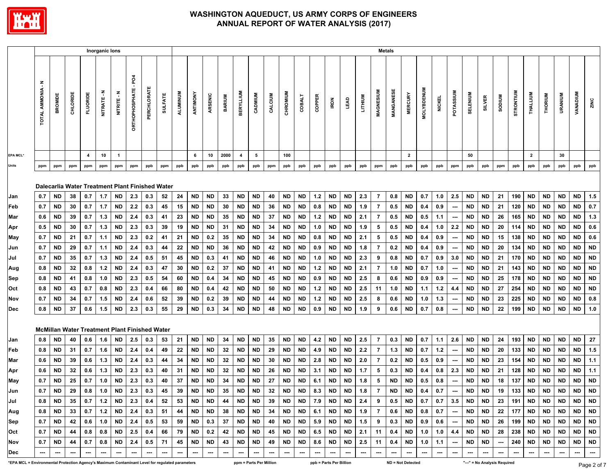

|                                                                                                 |                                           |                                                      |          |                 | Inorganic lons           |                 |                     |             |                |                          |                        |                  |                          |                         |                         |                          |                          |                        |            |                         |                          |            |                          | <b>Metals</b>    |                          |                   |               |                                    |                              |                        |                          |                          |                        |                          |                 |                 |            |
|-------------------------------------------------------------------------------------------------|-------------------------------------------|------------------------------------------------------|----------|-----------------|--------------------------|-----------------|---------------------|-------------|----------------|--------------------------|------------------------|------------------|--------------------------|-------------------------|-------------------------|--------------------------|--------------------------|------------------------|------------|-------------------------|--------------------------|------------|--------------------------|------------------|--------------------------|-------------------|---------------|------------------------------------|------------------------------|------------------------|--------------------------|--------------------------|------------------------|--------------------------|-----------------|-----------------|------------|
|                                                                                                 | $\ddot{\tilde{}}$<br><b>TOTAL AMMONIA</b> | BROMIDE                                              | CHLORIDE | <b>FLUORIDE</b> | NITRATE - N              | NITRITE-N       | ğ<br>ORTHOPHOSPHATE | PERCHLORATE | <b>SULFATE</b> | ALUMINUM                 | ANTIMONY               | ARSENIC          | <b>BARIUM</b>            | <b>BERYLLIUM</b>        | CADMIUM                 | CALCIUM                  | CHROMIUM                 | <b>COBALT</b>          | COPPER     | <b>IRON</b>             | LEAD                     | LITHIUM    | MAGNESIUM                | <b>MANGANESE</b> | <b>MERCURY</b>           | <b>MOLYBDENUM</b> | <b>NICKEL</b> | POTASSIUM                          | SELENIUM                     | <b>SILVER</b>          | <b>MUIDOS</b>            | STRONTIUM                | THALLIUM               | THORIUM                  | <b>URANIUM</b>  | <b>VANADIUM</b> | ZINC       |
| <b>EPA MCL*</b>                                                                                 |                                           |                                                      |          | 4               | 10                       | $\overline{1}$  |                     |             |                |                          | 6                      | 10               | 2000                     | $\overline{\mathbf{4}}$ | 5                       |                          | 100                      |                        |            |                         |                          |            |                          |                  | $\overline{2}$           |                   |               |                                    | 50                           |                        |                          |                          | $\overline{2}$         |                          | 30              |                 |            |
| Units                                                                                           | ppm                                       | ppm                                                  | ppm      | ppm             | ppm                      | ppm             | ppm                 | ppb         | ppm            | ppb                      | ppb                    | ppb              | ppb                      | ppb                     | ppb                     | ppm                      | ppb                      | ppb                    | ppb        | ppb                     | ppb                      | ppb        | ppm                      | ppb              | ppb                      | ppb               | ppb           | ppm                                | ppb                          | ppb                    | ppm                      | ppb                      | ppb                    | ppb                      | ppb             | ppb             | ppb        |
|                                                                                                 |                                           | Dalecarlia Water Treatment Plant Finished Water      |          |                 |                          |                 |                     |             |                |                          |                        |                  |                          |                         |                         |                          |                          |                        |            |                         |                          |            |                          |                  |                          |                   |               |                                    |                              |                        |                          |                          |                        |                          |                 |                 |            |
| Jan                                                                                             | 0.7                                       | <b>ND</b>                                            | 38       | 0.7             | 1.7                      | <b>ND</b>       | 2.3                 | 0.3         | 52             | 24                       | <b>ND</b>              | <b>ND</b>        | 33                       | <b>ND</b>               | <b>ND</b>               | 40                       | <b>ND</b>                | $\sf ND$               | $1.2$      | ND                      | <b>ND</b>                | 2.3        | $\overline{7}$           | 0.8              | <b>ND</b>                | 0.7               | 1.0           | 2.5                                | <b>ND</b>                    | <b>ND</b>              | 21                       | 190                      | <b>ND</b>              | ND                       | <b>ND</b>       | <b>ND</b>       | 1.5        |
| Feb                                                                                             | 0.7                                       | <b>ND</b>                                            | 30       | 0.7             | 1.7                      | ND              | 2.2                 | 0.3         | 45             | 15                       | <b>ND</b>              | <b>ND</b>        | 30                       | <b>ND</b>               | <b>ND</b>               | 36                       | <b>ND</b>                | <b>ND</b>              | 0.8        | ND                      | <b>ND</b>                | 1.9        | $\overline{7}$           | 0.5              | <b>ND</b>                | 0.4               | 0.9           | $\overline{\phantom{a}}$           | <b>ND</b>                    | <b>ND</b>              | 21                       | 120                      | <b>ND</b>              | <b>ND</b>                | <b>ND</b>       | <b>ND</b>       | $0.7\,$    |
| Mar                                                                                             | 0.6                                       | <b>ND</b>                                            | 39       | 0.7             | 1.3                      | ND              | 2.4                 | 0.3         | 41<br>39       | 23                       | <b>ND</b>              | <b>ND</b>        | 35                       | <b>ND</b>               | <b>ND</b>               | 37                       | <b>ND</b>                | <b>ND</b>              | 1.2        | ND                      | ND                       | 2.1        | 7                        | 0.5              | <b>ND</b>                | 0.5               | 1.1           | $\overline{\phantom{a}}$<br>2.2    | <b>ND</b>                    | <b>ND</b>              | 26                       | 165                      | <b>ND</b>              | ND                       | ND              | ND              | $1.3$      |
| Apr                                                                                             | 0.5<br>0.7                                | <b>ND</b><br><b>ND</b>                               | 30<br>21 | 0.7<br>0.7      | 1.3<br>1.1               | ND<br><b>ND</b> | 2.3<br>2.3          | 0.3<br>0.2  | 41             | 19<br>21                 | <b>ND</b><br><b>ND</b> | <b>ND</b><br>0.2 | 31<br>35                 | <b>ND</b><br><b>ND</b>  | <b>ND</b><br><b>ND</b>  | 34<br>34                 | ND<br><b>ND</b>          | <b>ND</b><br><b>ND</b> | 1.0<br>0.8 | ND<br>ND                | ND<br>ND                 | 1.9<br>2.1 | 5<br>5                   | 0.5<br>0.5       | <b>ND</b><br>ND          | 0.4<br>0.4        | 1.0<br>0.9    |                                    | <b>ND</b><br><b>ND</b>       | <b>ND</b><br><b>ND</b> | 20<br>15                 | 114<br>138               | <b>ND</b><br><b>ND</b> | <b>ND</b><br><b>ND</b>   | ND<br><b>ND</b> | ND<br>ND.       | 0.6<br>0.6 |
| May<br>Jun                                                                                      | 0.7                                       | <b>ND</b>                                            | 29       | 0.7             | 1.1                      | <b>ND</b>       | 2.4                 | 0.3         | 44             | 22                       | <b>ND</b>              | <b>ND</b>        | 36                       | <b>ND</b>               | <b>ND</b>               | 42                       | <b>ND</b>                | <b>ND</b>              | 0.9        | ND                      | ND                       | 1.8        | $\overline{7}$           | 0.2              | <b>ND</b>                | 0.4               | 0.9           | $\sim$<br>$\hspace{0.05cm} \cdots$ | <b>ND</b>                    | <b>ND</b>              | 20                       | 134                      | <b>ND</b>              | <b>ND</b>                | <b>ND</b>       | <b>ND</b>       | <b>ND</b>  |
| Jul                                                                                             | 0.7                                       | <b>ND</b>                                            | 35       | 0.7             | 1.3                      | <b>ND</b>       | 2.4                 | 0.5         | 51             | 45                       | <b>ND</b>              | 0.3              | 41                       | <b>ND</b>               | <b>ND</b>               | 46                       | <b>ND</b>                | <b>ND</b>              | 1.0        | ND                      | ND                       | 2.3        | 9                        | 0.8              | <b>ND</b>                | 0.7               | 0.9           | 3.0                                | <b>ND</b>                    | <b>ND</b>              | 21                       | 170                      | <b>ND</b>              | <b>ND</b>                | <b>ND</b>       | <b>ND</b>       | <b>ND</b>  |
| Aug                                                                                             | 0.8                                       | <b>ND</b>                                            | 32       | 0.8             | 1.2                      | ND              | 2.4                 | 0.3         | 47             | 30                       | <b>ND</b>              | 0.2              | 37                       | <b>ND</b>               | <b>ND</b>               | 41                       | <b>ND</b>                | <b>ND</b>              | 1.2        | ND                      | ND                       | 2.1        | 7                        | 1.0              | <b>ND</b>                | 0.7               | 1.0           | $\hspace{0.05cm} \cdots$           | <b>ND</b>                    | <b>ND</b>              | 21                       | 143                      | <b>ND</b>              | ND                       | ND              | ND              | <b>ND</b>  |
| Sep                                                                                             | 0.8                                       | ND                                                   | 41       | 0.8             | 1.0                      | ND              | 2.3                 | 0.5         | 54             | 60                       | <b>ND</b>              | 0.4              | 34                       | <b>ND</b>               | <b>ND</b>               | 45                       | ND                       | <b>ND</b>              | 0.9        | ND                      | ND                       | 2.5        | 8                        | 0.6              | <b>ND</b>                | 0.9               | 0.9           | ---                                | <b>ND</b>                    | <b>ND</b>              | 25                       | 178                      | <b>ND</b>              | ND                       | ND              | ND              | <b>ND</b>  |
| Oct                                                                                             | 0.8                                       | ND                                                   | 43       | 0.7             | 0.8                      | <b>ND</b>       | 2.3                 | 0.4         | 66             | 80                       | <b>ND</b>              | 0.4              | 42                       | <b>ND</b>               | ND                      | 50                       | ND                       | ND                     | $1.2$      | ND                      | ND                       | 2.5        | 11                       | 1.0              | ND                       | 1.1               | 1.2           | 4.4                                | <b>ND</b>                    | ND                     | 27                       | 254                      | <b>ND</b>              | ND                       | ND              | ND              | <b>ND</b>  |
| Nov                                                                                             | 0.7                                       | <b>ND</b>                                            | 34       | 0.7             | 1.5                      | <b>ND</b>       | 2.4                 | 0.6         | 52             | 39                       | <b>ND</b>              | 0.2              | 39                       | <b>ND</b>               | <b>ND</b>               | 44                       | <b>ND</b>                | <b>ND</b>              | $1.2$      | ND                      | ND                       | 2.5        | 8                        | 0.6              | <b>ND</b>                | 1.0               | 1.3           | $\hspace{0.05cm} \cdots$           | <b>ND</b>                    | <b>ND</b>              | 23                       | 225                      | <b>ND</b>              | ND                       | ND              | <b>ND</b>       | 0.8        |
| Dec                                                                                             | 0.8                                       | <b>ND</b>                                            | 37       | 0.6             | 1.5                      | <b>ND</b>       | 2.3                 | 0.3         | 55             | 29                       | <b>ND</b>              | 0.3              | 34                       | <b>ND</b>               | <b>ND</b>               | 48                       | <b>ND</b>                | <b>ND</b>              | 0.9        | ND                      | ND                       | 1.9        | 9                        | 0.6              | <b>ND</b>                | 0.7               | 0.8           | ---                                | <b>ND</b>                    | <b>ND</b>              | ${\bf 22}$               | 199                      | <b>ND</b>              | <b>ND</b>                | <b>ND</b>       | <b>ND</b>       | $1.0$      |
|                                                                                                 |                                           | <b>McMillan Water Treatment Plant Finished Water</b> |          |                 |                          |                 |                     |             |                |                          |                        |                  |                          |                         |                         |                          |                          |                        |            |                         |                          |            |                          |                  |                          |                   |               |                                    |                              |                        |                          |                          |                        |                          |                 |                 |            |
| Jan                                                                                             | 0.8                                       | ND                                                   | 40       | 0.6             | 1.6                      | ND              | 2.5                 | 0.3         | 53             | 21                       | <b>ND</b>              | <b>ND</b>        | 34                       | <b>ND</b>               | <b>ND</b>               | 35                       | <b>ND</b>                | <b>ND</b>              | $4.2\,$    | ND                      | ND                       | 2.5        | -7                       | 0.3              | <b>ND</b>                | 0.7               | 1.1           | 2.6                                | <b>ND</b>                    | <b>ND</b>              | 24                       | 193                      | <b>ND</b>              | ND                       | <b>ND</b>       | ND              | 27         |
| Feb                                                                                             | 0.8                                       | <b>ND</b>                                            | 31       | 0.7             | 1.6                      | <b>ND</b>       | 2.4                 | 0.4         | 49             | 22                       | <b>ND</b>              | <b>ND</b>        | 32                       | <b>ND</b>               | <b>ND</b>               | 29                       | <b>ND</b>                | ND                     | 4.9        | <b>ND</b>               | <b>ND</b>                | 2.2        | $\overline{7}$           | 1.3              | <b>ND</b>                | 0.7               | $1.2$         | $\overline{\phantom{a}}$           | <b>ND</b>                    | <b>ND</b>              | 20                       | 133                      | <b>ND</b>              | <b>ND</b>                | <b>ND</b>       | <b>ND</b>       | $1.5$      |
| Mar                                                                                             | 0.6                                       | ND                                                   | 39       | 0.6             | 1.3                      | ND              | 2.4                 | 0.3         | 44             | 34                       | <b>ND</b>              | <b>ND</b>        | 32                       | <b>ND</b>               | <b>ND</b>               | 30                       | <b>ND</b>                | ND                     | 2.8        | ND                      | ND                       | 2.0        | -7                       | 0.2              | <b>ND</b>                | 0.5               | 0.9           | $\overline{\phantom{a}}$           | <b>ND</b>                    | <b>ND</b>              | 23                       | 154                      | ND                     | ND                       | ND              | ND              | $1.1$      |
| Apr                                                                                             | 0.6                                       | ND                                                   | 32       | 0.6             | 1.3                      | ND              | 2.3                 | 0.3         | 40             | -31                      | <b>ND</b>              | <b>ND</b>        | 32                       | <b>ND</b>               | ND                      | 26                       | ND                       | ND                     | 3.1        | ND                      | ND                       | 1.7        | 5                        | 0.3              | <b>ND</b>                | 0.4               | 0.8           | 2.3                                | <b>ND</b>                    | ND                     | 21                       | 128                      | ND                     | ND                       | ND              | ND              | 1.1        |
| May                                                                                             | 0.7                                       | ND                                                   | 25       | 0.7             | 1.0                      | ND              | 2.3                 | 0.3         | 40             | 37                       | <b>ND</b>              | <b>ND</b>        | 34                       | <b>ND</b>               | <b>ND</b>               | 27                       | <b>ND</b>                | <b>ND</b>              | 6.1        | ND                      | ND                       | 1.8        | 5                        | ND               | <b>ND</b>                | 0.5               | 0.8           | $\overline{\phantom{a}}$           | <b>ND</b>                    | <b>ND</b>              | 18                       | 137                      | <b>ND</b>              | ND                       | ND              | ND              | <b>ND</b>  |
| Jun                                                                                             | 0.7                                       | <b>ND</b>                                            | 29       | 0.8             | 1.0                      | <b>ND</b>       | 2.3                 | 0.3         | 45             | 39                       | <b>ND</b>              | <b>ND</b>        | 35                       | <b>ND</b>               | <b>ND</b>               | 32                       | <b>ND</b>                | <b>ND</b>              | 8.3        | <b>ND</b>               | <b>ND</b>                | 1.8        | $\overline{7}$           | <b>ND</b>        | <b>ND</b>                | 0.4               | 0.7           | $\overline{\phantom{a}}$           | <b>ND</b>                    | <b>ND</b>              | 19                       | 133                      | <b>ND</b>              | <b>ND</b>                | <b>ND</b>       | <b>ND</b>       | <b>ND</b>  |
| Jul                                                                                             | 0.8                                       | ND                                                   | 35       | 0.7             | 1.2                      | <b>ND</b>       | 2.3                 | 0.4         | 52             | 53                       | ND                     | <b>ND</b>        | 44                       | <b>ND</b>               | ND                      | 39                       | ND                       | ND                     | 7.9        | ND.                     | ND.                      | 2.4        | 9                        | 0.5              | <b>ND</b>                | 0.7               | 0.7           | 3.5                                | <b>ND</b>                    | ND                     | 23                       | 191                      | ND                     | <b>ND</b>                | ND.             | ND              | <b>ND</b>  |
| Aug                                                                                             | 0.8                                       | <b>ND</b>                                            | 33       | 0.7             | 1.2                      | ND              | 2.4                 | 0.3         | 51             | 44                       | <b>ND</b>              | ND               | 38                       | ND                      | <b>ND</b>               | 34                       | ND                       | <b>ND</b>              | 6.1        | <b>ND</b>               | ND                       | 1.9        | - 7                      | 0.6              | ND                       | 0.8               | 0.7           | ---                                | ND                           | ND                     | 22                       | 177                      | ND.                    | ND.                      | ND.             | <b>ND</b>       | <b>ND</b>  |
| Sep<br>Oct                                                                                      | 0.7<br>0.7                                | ND<br>ND                                             | 42<br>44 | 0.6<br>0.8      | 1.0<br>0.8               | ND<br>ND        | 2.4<br>2.5          | 0.5<br>0.4  | 53<br>66       | 59<br>79                 | <b>ND</b><br>ND        | 0.3<br>0.2       | 37<br>42                 | <b>ND</b><br>ND         | ND<br>ND                | 40<br>45                 | ND<br>ND                 | ND<br><b>ND</b>        | 5.9<br>6.5 | ND<br>ND                | ND<br><b>ND</b>          | 1.5<br>2.1 | 9<br>11                  | 0.3<br>0.4       | <b>ND</b><br>ND          | 0.9<br>1.0        | 0.6<br>1.0    | $\overline{\phantom{a}}$<br>4.4    | <b>ND</b><br>ND              | ND<br>ND               | 26<br>28                 | 199<br>238               | ND.<br>ND.             | <b>ND</b><br>ND.         | ND.<br>ND.      | ND<br>ND        | ND<br>ND   |
| Nov                                                                                             | 0.7                                       | ND                                                   | 44       | 0.7             | 0.8                      | ND.             | 2.4                 | 0.5         | 71             | 45                       | ND                     | ND               | 43                       | ND                      | ND                      | 49                       | ND                       | ND                     | 8.6        | ND.                     | ND                       | 2.5        | 11                       | 0.4              | ND                       | 1.0               | 1.1           | $\hspace{0.05cm} \cdots$           | ND                           | ND                     | $\hspace{0.05cm} \cdots$ | 240                      | ND                     | ND.                      | ND.             | ND              | <b>ND</b>  |
| Dec                                                                                             | ---                                       | ---                                                  | ---      | ---             | $\overline{\phantom{a}}$ | ---             | ---                 | ---         | ---            | $\overline{\phantom{a}}$ | ---                    | $\sim$           | $\hspace{0.05cm} \cdots$ | ---                     | ---                     | $\hspace{0.05cm} \cdots$ | $\hspace{0.05cm} \cdots$ | ---                    | ---        | $\hspace{0.05cm}$       | $\overline{\phantom{a}}$ | ---        | $\hspace{0.05cm} \cdots$ | ---              | ---                      | ---               | ---           | $\hspace{0.05cm} \cdots$           | ---                          | ---                    | ---                      | $\hspace{0.05cm} \cdots$ | ---                    | $\overline{\phantom{a}}$ | $\cdots$        | ---             | ---        |
| *EPA MCL = Environmental Protection Agency's Maximum Contaminant Level for regulated parameters |                                           |                                                      |          |                 |                          |                 |                     |             |                |                          |                        |                  |                          |                         | ppm = Parts Per Million |                          |                          |                        |            | ppb = Parts Per Billion |                          |            |                          |                  | <b>ND = Not Detected</b> |                   |               |                                    | "---" = No Analysis Required |                        |                          |                          |                        |                          |                 |                 | Page 2 c   |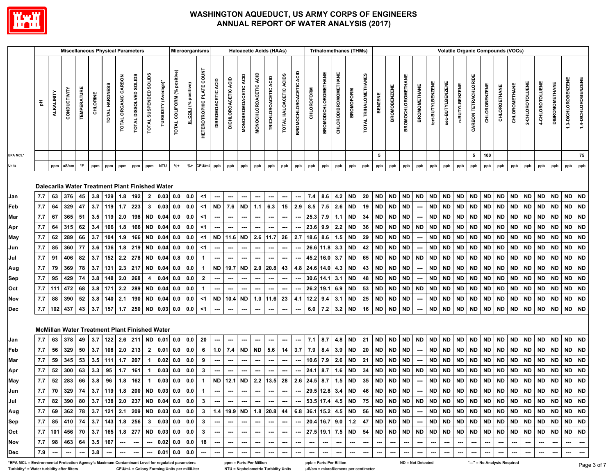

|                                                                                                 |            |                   | <b>Miscellaneous Physical Parameters</b>        |                     |            |                |                         |                                         |                        |                           |                             | Microorganisms    |                                  |                          |                            |                             |                          | <b>Haloacetic Acids (HAAs)</b> |                          |                          |                   | <b>Trihalomethanes (THMs)</b> |                      |                        |                       |                        |                        |                           |                                 |                        |                          |                        |                      | <b>Volatile Organic Compounds (VOCs)</b> |                        |                        |                        |                          |                        |                          |                     |
|-------------------------------------------------------------------------------------------------|------------|-------------------|-------------------------------------------------|---------------------|------------|----------------|-------------------------|-----------------------------------------|------------------------|---------------------------|-----------------------------|-------------------|----------------------------------|--------------------------|----------------------------|-----------------------------|--------------------------|--------------------------------|--------------------------|--------------------------|-------------------|-------------------------------|----------------------|------------------------|-----------------------|------------------------|------------------------|---------------------------|---------------------------------|------------------------|--------------------------|------------------------|----------------------|------------------------------------------|------------------------|------------------------|------------------------|--------------------------|------------------------|--------------------------|---------------------|
|                                                                                                 | 玉          | <b>ALKALINITY</b> | CONDUCTIVITY                                    | <b>TEMPERATURE</b>  | CHLORINE   | TOTAL HARDNESS | TOTAL ORGANIC CARBON    | <b>SOLIDS</b><br><b>TOTAL DISSOLVED</b> | TOTAL SUSPENDED SOLIDS | TURBIDITY (Average)*      | TOTAL COLIFORM (% positive) | COLI (% positive) | <b>HETEROTROPHIC PLATE COUNT</b> | DIBROMOACETIC ACID       | å<br><b>DICHLOROACETIC</b> | <b>MONOBROMOACETIC ACID</b> | MONOCHLOROACETIC ACID    | TRICHLOROACETIC ACID           | TOTAL HALOACETIC ACIDS   | BROMOCHLOROACETIC ACID   | <b>CHLOROFORM</b> | <b>BROMODICHLOROMETHANE</b>   | CHLORODIBROMOMETHANE | <b>BROMOFORM</b>       | TOTAL TRIHALOMETHANES | BENZENE                | <b>BROMOBENZENE</b>    | <b>BROMOCHLOROMETHANE</b> | <b>BROMOMETHANE</b>             | tert-BUTYLBENZENE      | sec-BUTYLBENZENE         | n-BUTYLBENZENE         | CARBON TETRACHLORIDE | <b>CHLOROBENZENE</b>                     | CHLOROETHANE           | CHLOROMETHANE          | 2-CHLOROTOLUENE        | 4-CHLOROTOLUENE          | <b>DIBROMOMETHANE</b>  | 1,3-DICHLOROBENZENE      | 1,4-DICHLOROBENZENE |
| EPA MCL*                                                                                        |            |                   |                                                 |                     |            |                |                         |                                         |                        |                           |                             |                   |                                  |                          |                            |                             |                          |                                |                          |                          |                   |                               |                      |                        |                       | 5                      |                        |                           |                                 |                        |                          |                        | 5                    | 100                                      |                        |                        |                        |                          |                        |                          | 75                  |
| Units                                                                                           |            | ppm               | uS/cm                                           | $^\circ \mathsf{F}$ | ppm        | ppm            | ppm                     | ppm                                     | ppm                    | <b>NTU</b>                | $% +$                       | $% +$             | CFU/mL                           | ppb                      | ppb                        | ppb                         | ppb                      | ppb                            | ppb                      | ppb                      | ppb               | ppb                           | ppb                  | ppb                    | ppb                   | ppb                    | ppb                    | ppb                       | ppb                             | ppb                    | ppb                      | ppb                    | ppb                  | ppb                                      | ppb                    | ppb                    | ppb                    | ppb                      | ppb                    | ppb                      | ppb                 |
|                                                                                                 |            |                   | Dalecarlia Water Treatment Plant Finished Water |                     |            |                |                         |                                         |                        |                           |                             |                   |                                  |                          |                            |                             |                          |                                |                          |                          |                   |                               |                      |                        |                       |                        |                        |                           |                                 |                        |                          |                        |                      |                                          |                        |                        |                        |                          |                        |                          |                     |
| Jan                                                                                             | 7.7        | 63                | 376                                             | 45                  | 3.8        | 129            | 1.8                     | 192                                     | $\mathbf{2}$           | $0.03$ 0.0                |                             | 0.0               | $<$ 1                            | $\overline{\phantom{a}}$ | ---                        | ---                         | $\hspace{0.05cm} \cdots$ | $\overline{\phantom{a}}$       | ---                      | $\hspace{0.05cm} \cdots$ | 7.4               | 8.6                           | 4.2                  | <b>ND</b>              | 20                    | <b>ND</b>              | <b>ND</b>              | <b>ND</b>                 | <b>ND</b>                       | <b>ND</b>              | ND                       | <b>ND</b>              | ND                   | <b>ND</b>                                | <b>ND</b>              | <b>ND</b>              | <b>ND</b>              | <b>ND</b>                | <b>ND</b>              | ND ND                    |                     |
| Feb                                                                                             | 7.7        | 64                | 329                                             | 47                  | 3.7        | 119            | 1.7                     | 223                                     | 3                      | $0.03 \, 0.0$             |                             | 0.0               | $<$ 1                            | <b>ND</b>                | 7.6                        | <b>ND</b>                   | 1.1                      | 6.3                            | 15                       | 2.9                      | 8.5               | 7.5                           | 2.6                  | <b>ND</b>              | 19                    | <b>ND</b>              | <b>ND</b>              | <b>ND</b>                 | $\overline{\phantom{a}}$        | <b>ND</b>              | <b>ND</b>                | <b>ND</b>              | <b>ND</b>            | <b>ND</b>                                | <b>ND</b>              | <b>ND</b>              | <b>ND</b>              | <b>ND</b>                | <b>ND</b>              | ND ND                    |                     |
| Mar                                                                                             | 7.7        | 67                | 365                                             | 51                  | 3.5        | 119            | 2.0                     | 198                                     | ND                     | 0.04 0.0                  |                             | 0.0               | <1                               |                          |                            |                             | $\overline{\phantom{a}}$ |                                | ---                      |                          | 25.3              | 7.9                           | 1.1                  | ND                     | 34                    | <b>ND</b>              | <b>ND</b>              | <b>ND</b>                 |                                 | <b>ND</b>              | <b>ND</b>                | ND                     | ND                   | <b>ND</b>                                | ND                     | ND                     | <b>ND</b>              | ND.                      | <b>ND</b>              | ND ND                    |                     |
| Apr                                                                                             | 7.7        | 64                | 315                                             | 62                  | 3.4        | 106            | 1.8                     | 166                                     | <b>ND</b>              | $0.04$ 0.0                |                             | 0.0               | <1                               |                          | ---                        |                             | $\hspace{0.05cm} \cdots$ |                                | ---                      | $\hspace{0.05cm} \cdots$ | 23.6              | 9.9                           | 2.2                  | <b>ND</b>              | 36                    | <b>ND</b>              | <b>ND</b>              | <b>ND</b>                 | <b>ND</b>                       | <b>ND</b>              | <b>ND</b>                | <b>ND</b>              | <b>ND</b>            | <b>ND</b>                                | <b>ND</b>              | <b>ND</b>              | <b>ND</b>              | <b>ND</b>                | <b>ND</b>              | ND ND                    |                     |
| May                                                                                             | 7.7        | 62                | 289                                             | 66                  | 3.7        | 104            | 1.9                     | 166                                     | <b>ND</b>              | $0.04$ 0.0                |                             | 0.0               | $<$ 1                            | <b>ND</b>                | 11.6                       | <b>ND</b>                   |                          | $2.6$   11.7                   | 26                       | 2.7                      | 18.6              | 8.6                           | 1.5                  | <b>ND</b>              | 29                    | <b>ND</b>              | <b>ND</b>              | <b>ND</b>                 | ---                             | <b>ND</b>              | <b>ND</b>                | <b>ND</b>              | <b>ND</b>            | <b>ND</b>                                | <b>ND</b>              | <b>ND</b>              | <b>ND</b>              | <b>ND</b>                | <b>ND</b>              | ND                       | ND                  |
| Jun                                                                                             | 7.7        | 85                | 360                                             | 77                  | 3.6        | 136            | 1.8                     | 219                                     | <b>ND</b>              | $0.04$ 0.0                |                             | 0.0               | $<$ 1                            | $\hspace{0.05cm} \cdots$ | $\overline{\phantom{a}}$   | ---                         | ---                      | $\overline{\phantom{a}}$       | ---                      | $\hspace{0.05cm} \cdots$ |                   | 26.6 11.8                     | 3.3                  | <b>ND</b>              | 42                    | <b>ND</b>              | <b>ND</b>              | <b>ND</b>                 | $\overline{\phantom{a}}$        | <b>ND</b>              | ND                       | <b>ND</b>              | <b>ND</b>            | <b>ND</b>                                | <b>ND</b>              | <b>ND</b>              | <b>ND</b>              | <b>ND</b>                | <b>ND</b>              | ND                       | ND                  |
| Jul                                                                                             | $7.7$      | 91                | 406                                             | 82                  | 3.7        | 152            | 2.2                     | 278                                     | <b>ND</b>              | 0.04                      | 0.8                         | $0.0\,$           | 1                                |                          | ---                        |                             | ---                      |                                | ---                      |                          |                   | 45.2 16.0                     | 3.7                  | <b>ND</b>              | 65                    | <b>ND</b>              | <b>ND</b>              | <b>ND</b>                 | <b>ND</b>                       | <b>ND</b>              | <b>ND</b>                | <b>ND</b>              | <b>ND</b>            | <b>ND</b>                                | <b>ND</b>              | <b>ND</b>              | <b>ND</b>              | <b>ND</b>                | <b>ND</b>              | <b>ND</b>                | <b>ND</b>           |
| Aug                                                                                             | 7.7        | 79                | 369                                             | 78                  | 3.7        | 131            | 2.3                     | 217                                     | ND                     | $0.04$ 0.0                |                             | 0.0               | $\mathbf{1}$                     | <b>ND</b>                | 19.7                       | <b>ND</b>                   |                          | $2.0$ 20.8                     | 43                       | 4.8                      |                   | 24.6 14.0                     | 4.3                  | <b>ND</b>              | 43                    | <b>ND</b>              | <b>ND</b>              | <b>ND</b>                 |                                 | <b>ND</b>              | <b>ND</b>                | <b>ND</b>              | ND                   | <b>ND</b>                                | <b>ND</b>              | <b>ND</b>              | <b>ND</b>              | <b>ND</b>                | <b>ND</b>              | ND                       | ND                  |
| Sep                                                                                             | 7.7        | 95                | 429                                             | 74                  | 3.8        | 148            | 2.0                     | 268                                     | 4                      | $0.04$ 0.0                |                             | 0.0               | $\mathbf{2}$                     | ---                      | ---                        | ---                         | $\hspace{0.05cm} \cdots$ | ---                            | ---                      | ---                      |                   | $30.6$ 14.1                   | 3.1                  | <b>ND</b>              | 48                    | <b>ND</b>              | <b>ND</b>              | <b>ND</b>                 | ---                             | <b>ND</b>              | <b>ND</b>                | <b>ND</b>              | <b>ND</b>            | <b>ND</b>                                | <b>ND</b>              | <b>ND</b>              | <b>ND</b>              | <b>ND</b>                | <b>ND</b>              | ND ND                    |                     |
| Oct                                                                                             | 7.7<br>7.7 | 111               | 472                                             | 68                  | 3.8        | 171            | 2.2                     | 289                                     | <b>ND</b>              | $0.04$ 0.0                |                             | 0.0               | 1                                | <b>ND</b>                | ---                        | <b>ND</b>                   | ---                      | ---                            | ---                      | ---                      |                   | 26.2 19.1                     | 6.9                  | <b>ND</b>              | 53                    | <b>ND</b>              | <b>ND</b>              | <b>ND</b><br><b>ND</b>    | <b>ND</b>                       | <b>ND</b>              | <b>ND</b>                | <b>ND</b>              | <b>ND</b>            | <b>ND</b>                                | <b>ND</b>              | <b>ND</b>              | <b>ND</b>              | <b>ND</b>                | <b>ND</b><br><b>ND</b> | ND                       | ND<br><b>ND</b>     |
| Nov<br><b>Dec</b>                                                                               | 7.7        | 88<br>102         | 390<br>437                                      | 52<br>43            | 3.8<br>3.7 | 140<br>157     | 2.1<br>1.7              | 190<br>250                              | <b>ND</b>              | $0.04$ 0.0<br>ND 0.03 0.0 |                             | 0.0<br>0.0        | $<$ 1<br>$<$ 1                   |                          | 10.4<br>---                |                             | $\overline{\phantom{a}}$ | $1.0$   11.6<br>---            | 23<br>---                | 4.1                      | 12.2<br>6.0       | 9.4<br>7.2                    | 3.1<br>3.2           | <b>ND</b><br><b>ND</b> | 25<br>16              | <b>ND</b><br><b>ND</b> | <b>ND</b><br><b>ND</b> | <b>ND</b>                 | $\hspace{0.05cm} \cdots$<br>--- | <b>ND</b><br><b>ND</b> | <b>ND</b><br><b>ND</b>   | <b>ND</b><br><b>ND</b> | ND<br><b>ND</b>      | <b>ND</b><br><b>ND</b>                   | <b>ND</b><br><b>ND</b> | <b>ND</b><br><b>ND</b> | <b>ND</b><br><b>ND</b> | <b>ND</b><br><b>ND</b>   | <b>ND</b>              | ND  <br>ND ND            |                     |
|                                                                                                 |            |                   | McMillan Water Treatment Plant Finished Water   |                     |            |                |                         |                                         |                        |                           |                             |                   |                                  |                          |                            |                             |                          |                                |                          |                          |                   |                               |                      |                        |                       |                        |                        |                           |                                 |                        |                          |                        |                      |                                          |                        |                        |                        |                          |                        |                          |                     |
| Jan                                                                                             | 7.7        | 63                | 378                                             | 49                  | 3.7        | 122            | 2.6                     | 211                                     | ND                     | 0.01                      | 0.0                         | 0.0               | 20                               |                          | ---                        |                             | ---                      | ---                            | ---                      | $\hspace{0.05cm} \cdots$ | 7.1               | 8.7                           | 4.8                  | <b>ND</b>              | 21                    | <b>ND</b>              | <b>ND</b>              | <b>ND</b>                 | <b>ND</b>                       | <b>ND</b>              | <b>ND</b>                | <b>ND</b>              | <b>ND</b>            | <b>ND</b>                                | <b>ND</b>              | <b>ND</b>              | <b>ND</b>              | <b>ND</b>                | <b>ND</b>              | ND ND                    |                     |
| Feb                                                                                             | 7.7        | 56                | 329                                             | 50                  | 3.7        | 108            | 2.0                     | 213                                     | $\mathbf{2}$           | 0.01                      | 0.0                         | 0.0               | 6                                | 1.0                      | 7.4                        | <b>ND</b>                   | <b>ND</b>                | 5.6                            | 14                       | 3.7                      | 7.9               | 8.4                           | 3.9                  | <b>ND</b>              | 20                    | <b>ND</b>              | <b>ND</b>              | <b>ND</b>                 | $\overline{\phantom{a}}$        | <b>ND</b>              | <b>ND</b>                | <b>ND</b>              | <b>ND</b>            | <b>ND</b>                                | <b>ND</b>              | <b>ND</b>              | <b>ND</b>              | <b>ND</b>                | <b>ND</b>              | ND ND                    |                     |
| Mar                                                                                             | 7.7        | 59                | 345                                             | 53                  | 3.5        | 111            | 1.7                     | 207                                     | 1                      | 0.02                      | 0.0                         | $0.0\,$           | 9                                | ---                      | ---                        | ---                         | ---                      | ---                            | ---                      | $\hspace{0.05cm} \ldots$ | 10.6              | 7.9                           | 2.6                  | ND                     | 21                    | <b>ND</b>              | <b>ND</b>              | <b>ND</b>                 | ---                             | <b>ND</b>              | <b>ND</b>                | <b>ND</b>              | ND                   | <b>ND</b>                                | <b>ND</b>              | <b>ND</b>              | <b>ND</b>              | <b>ND</b>                | <b>ND</b>              | ND                       | <b>ND</b>           |
| Apr                                                                                             | 7.7        | 52                | 300                                             | 63                  | 3.3        | 95             | 1.7                     | 161                                     | 1                      | $0.03 \, 0.0$             |                             | 0.0               | $\mathbf{3}$                     |                          |                            |                             |                          |                                |                          |                          | 24.1              | 8.7                           | 1.6                  | ND                     | 34                    | <b>ND</b>              | <b>ND</b>              | <b>ND</b>                 | <b>ND</b>                       | <b>ND</b>              | <b>ND</b>                | ND                     | ND                   | ND                                       | <b>ND</b>              | ND                     | <b>ND</b>              | ND.                      | <b>ND</b>              | <b>ND</b>                | <b>ND</b>           |
| May                                                                                             | $7.7\,$    | ${\bf 52}$        | 283                                             | 66                  | 3.8        | 96             | 1.8                     | 162                                     | 1                      | $0.03$ 0.0                |                             | 0.0               | $\mathbf{1}$                     | ${\sf ND}$               | 12.1                       | <b>ND</b>                   | $2.2$ 13.5               |                                | 28                       | 2.6                      | 24.5              | 8.7                           | 1.5                  | <b>ND</b>              | 35                    | <b>ND</b>              | <b>ND</b>              | <b>ND</b>                 | ---                             | <b>ND</b>              | <b>ND</b>                | <b>ND</b>              | ND                   | <b>ND</b>                                | <b>ND</b>              | <b>ND</b>              | <b>ND</b>              | <b>ND</b>                | <b>ND</b>              | ND                       | <b>ND</b>           |
| Jun                                                                                             | 7.7        | 70                | 329                                             | 74                  | 3.7        | 119            | 1.8                     | 200                                     | <b>ND</b>              | $0.03 \, 0.0$             |                             | 0.0               | $\mathbf{1}$                     | ---                      | ---                        | ---                         | ---                      | $\hspace{0.05cm} \cdots$       | $\overline{\phantom{a}}$ | $\hspace{0.05cm} \ldots$ |                   | 29.5 12.8                     | 3.4                  | <b>ND</b>              | 46                    | <b>ND</b>              | <b>ND</b>              | <b>ND</b>                 | $\overline{\phantom{a}}$        | <b>ND</b>              | <b>ND</b>                | <b>ND</b>              | <b>ND</b>            | <b>ND</b>                                | <b>ND</b>              | <b>ND</b>              | <b>ND</b>              | <b>ND</b>                | <b>ND</b>              | <b>ND</b>                | ND                  |
| Jul                                                                                             | 7.7        | 82                | 390                                             | 80                  | 3.7        | 138            | $\vert 2.0 \vert$       | 237                                     |                        | ND 0.04 0.0               |                             | 0.0               | 3                                | ---                      | ---                        | ---                         | ---                      |                                | ---                      | ---                      |                   | 53.5 17.4 4.5                 |                      | <b>ND</b>              | 75                    | <b>ND</b>              | <b>ND</b>              | ND                        | <b>ND</b>                       | <b>ND</b>              | ND                       | ND                     | ND                   | <b>ND</b>                                | ND                     | ND                     | ND                     | ND                       | <b>ND</b>              | ND.                      | <b>ND</b>           |
| Aug                                                                                             | 7.7        | 69                | 362                                             | 78                  | 3.7        | $121$ 2.1      |                         | 209                                     |                        | ND 0.03 0.0               |                             | 0.0               | $\mathbf{3}$                     | 1.4                      | 19.9                       | <b>ND</b>                   |                          | $1.8$ 20.8                     | 44                       | 6.8                      |                   | 36.1 15.2 4.5                 |                      | <b>ND</b>              | 56                    | <b>ND</b>              | <b>ND</b>              | <b>ND</b>                 |                                 | <b>ND</b>              | ND                       | <b>ND</b>              | <b>ND</b>            | ND                                       | <b>ND</b>              | ND   ND                |                        | ND.                      | <b>ND</b>              | ND ND                    |                     |
| Sep                                                                                             | 7.7        | 85                | 410                                             | 74                  |            |                | $3.7$   143   1.8   256 |                                         | 3                      | 0.03 0.0 0.0              |                             |                   | 3                                |                          |                            |                             |                          |                                |                          | ---                      |                   | 20.4 16.7 9.0                 |                      | 1.2                    |                       | 47   ND                | ND                     | ND                        |                                 | ND                     | ND                       | ND                     | ND                   | ND                                       | <b>ND</b>              | ND ND                  |                        | ND.                      | <b>ND</b>              | ND   ND                  |                     |
| Oct                                                                                             | 7.7        | 101               | 456                                             | 70                  | 3.7        | 165 1.8        |                         | 277                                     |                        | ND 0.03 0.0               |                             | 0.0               | 3                                | ---                      | ---                        | ---                         | $\hspace{0.05cm} \cdots$ | $\overline{\phantom{a}}$       | ---                      | $\qquad \qquad \cdots$   |                   | 27.5 19.1                     | 7.5                  | <b>ND</b>              |                       | 54   ND                | <b>ND</b>              | <b>ND</b>                 | <b>ND</b>                       | <b>ND</b>              | ND                       | <b>ND</b>              | ND                   | ND                                       | <b>ND</b>              | ND   ND                |                        | <b>ND</b>                | <b>ND</b>              | ND   ND                  |                     |
| Nov                                                                                             | 7.7        | 98                | 463                                             | 64                  | 3.5        | 167            | ---                     | ---                                     | ---                    | $0.02$ 0.0                |                             | 0.0               | 18                               | ---                      | $\overline{\phantom{a}}$   |                             | ---                      | ---                            | ---                      | ---                      | ---               | $\overline{\phantom{a}}$      | ---                  | ---                    | ---                   | ---                    | ---                    | ---                       | ---                             | ---                    | ---                      | ---                    |                      | ---                                      | ---                    |                        |                        |                          |                        |                          | ---                 |
| Dec                                                                                             | 7.9        | ---               | ---                                             | ---                 | 3.8        | ---            | ---                     | ---                                     | ---                    | $0.01$ 0.0                |                             | 0.0               | $\hspace{0.05cm} \cdots$         | $\hspace{0.05cm} \cdots$ | $\overline{\phantom{a}}$   |                             | $\hspace{0.05cm} \cdots$ | ---                            | $\hspace{0.05cm} \cdots$ | $\hspace{0.05cm} \cdots$ | ---               | $\hspace{0.05cm} \cdots$      | ---                  |                        | ---                   | ---                    | ---                    | ---                       | ┅                               | ---                    | $\hspace{0.05cm} \cdots$ | ┅                      | ---                  | ---                                      | ┅                      | ---                    | ---                    | $\overline{\phantom{a}}$ | ---                    | $\hspace{0.05cm} \cdots$ | ---                 |
| EPA MCL = Environmental Protection Agency's Maximum Contaminant Level for regulated parameters* |            |                   |                                                 |                     |            |                |                         |                                         |                        |                           |                             |                   |                                  |                          |                            |                             | ppm = Parts Per Million  |                                |                          |                          |                   | ppb = Parts Per Billion       |                      |                        |                       |                        |                        |                           | ND = Not Detected               |                        |                          |                        |                      | "---" = No Analysis Required             |                        |                        |                        |                          |                        |                          | Page                |

**Turbidity\* = Water turbidity after filters CFU/mL = Colony Forming Units per milliLiter NTU = Nephelometric Turbidity Units μS/cm = microSiemens per centimeter**

**ND = Not Detected**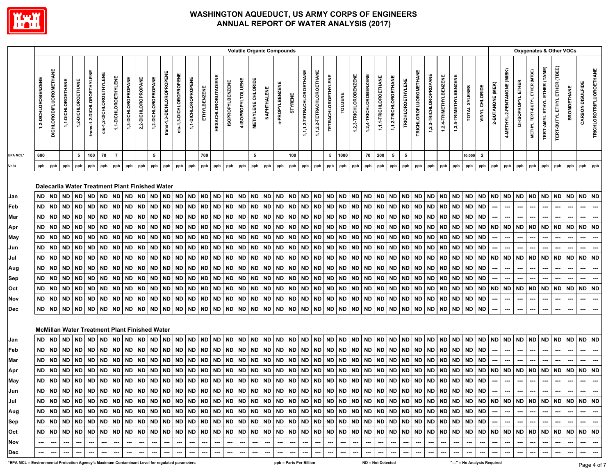

|                                                                                                 |                     | <b>Volatile Organic Compounds</b><br><b>DICHLORODIFLUOROMETHANE</b><br>1,1,1,2-TETRACHLOROETHANE<br>1,1,2,2-TETRACHLOROETHANE<br>trans-1,2-DICHLOROETHYLENE<br>trans-1,3-DICHLOROPROPENE<br>cis-1,2-DICHLOROETHYLENE<br>cis-1,3-DICHLOROPROPENE<br><b>TETRACHLOROETHYLENE</b><br><b>HEXACHLOROBUTADIENE</b><br>1,1-DICHLOROETHYLENE<br>2,2-DICHLOROPROPANE<br>1,2-DICHLOROPROPANE<br>1,1-DICHLOROPROPENE<br>1,3-DICHLOROPROPANE<br>4-ISOPROPYLTOLUENE<br><b>METHYLENE CHLORIDE</b><br>1,2-DICHLOROETHANE<br>1,1-DICHLOROETHANE<br><b>ISOPROPYLBENZENE</b><br>n-PROPYLBENZENE<br><b>ETHYLBENZENE</b><br>NAPHTHALENE<br><b>TOLUENE</b><br><b>STYRENE</b><br>$5\phantom{.0}$<br>100<br>70<br>$\overline{7}$<br>5<br>700<br>$5\phantom{.0}$<br>100<br>5<br>1000<br>ppb<br>ppb<br>ppb<br>ppb<br>ppb<br>ppb<br>ppb<br>ppb<br>ppb<br>ppb<br>ppb<br>ppb<br>ppb<br>ppb<br>ppb<br>ppb<br>ppb<br>ppb<br>ppb<br>ppb<br>ppb<br>ppb<br>ppb<br>ppb |                   |           |           |           |           |           |                                                              |           |             |           |             |           |           |           |           |                          |                            |            |           |                         |           |           |           |                        |                        |                       |                       | Oxygenates & Other VOCs |                               |                        |                        |                              |               |                         |                  |                             |                          |                                |                                     |                               |                    |                  |                                 |
|-------------------------------------------------------------------------------------------------|---------------------|-------------------------------------------------------------------------------------------------------------------------------------------------------------------------------------------------------------------------------------------------------------------------------------------------------------------------------------------------------------------------------------------------------------------------------------------------------------------------------------------------------------------------------------------------------------------------------------------------------------------------------------------------------------------------------------------------------------------------------------------------------------------------------------------------------------------------------------------------------------------------------------------------------------------------------------|-------------------|-----------|-----------|-----------|-----------|-----------|--------------------------------------------------------------|-----------|-------------|-----------|-------------|-----------|-----------|-----------|-----------|--------------------------|----------------------------|------------|-----------|-------------------------|-----------|-----------|-----------|------------------------|------------------------|-----------------------|-----------------------|-------------------------|-------------------------------|------------------------|------------------------|------------------------------|---------------|-------------------------|------------------|-----------------------------|--------------------------|--------------------------------|-------------------------------------|-------------------------------|--------------------|------------------|---------------------------------|
|                                                                                                 | 1,2-DICHLOROBENZENE |                                                                                                                                                                                                                                                                                                                                                                                                                                                                                                                                                                                                                                                                                                                                                                                                                                                                                                                                     |                   |           |           |           |           |           |                                                              |           |             |           |             |           |           |           |           |                          |                            |            |           |                         |           |           |           | 1,2,3-TRICHLOROBENZENE | 1,2,4-TRICHLOROBENZENE | 1,1,1-TRICHLOROETHANE | 1,1,2-TRICHLOROETHANE | TRICHLOROETHYLENE       | <b>TRICHLOROFLUOROMETHANE</b> | 1,2,3-TRICHLOROPROPANE | 1,2,4-TRIMETHYLBENZENE | 1,3,5-TRIMETHYLBENZENE       | TOTAL XYLENES | VINYL CHLORIDE          | 2-BUTANONE (MEK) | 4-METHYL-2-PENTANONE (MIBK) | DI-ISOPROPYL ETHER       | METHYL TERT-BUTYL ETHER (MTBE) | <b>TERT-AMYL ETHYL ETHER (TAME)</b> | TERT-BUTYL ETHYL ETHER (TBEE) | <b>BROMOETHANE</b> | CARBON DISULFIDE | <b>TRICHLOROTRIFLUOROETHANE</b> |
| EPA MCL'                                                                                        | 600                 |                                                                                                                                                                                                                                                                                                                                                                                                                                                                                                                                                                                                                                                                                                                                                                                                                                                                                                                                     |                   |           |           |           |           |           |                                                              |           |             |           |             |           |           |           |           |                          |                            |            |           |                         |           |           |           |                        | 70                     | 200                   | 5                     | 5                       |                               |                        |                        |                              | 10,000        | $\overline{\mathbf{2}}$ |                  |                             |                          |                                |                                     |                               |                    |                  |                                 |
| Units                                                                                           | ppb                 |                                                                                                                                                                                                                                                                                                                                                                                                                                                                                                                                                                                                                                                                                                                                                                                                                                                                                                                                     |                   |           |           |           |           |           |                                                              |           |             |           |             |           |           |           |           |                          |                            |            |           |                         |           |           |           | ppb                    | ppb                    | ppb                   | ppb                   | ppb                     | ppb                           | ppb                    | ppb                    | ppb                          | ppb           | ppb                     | ppb              | ppb                         | ppb                      | ppb                            | ppb                                 | ppb                           | ppb                | ppb              | ppb                             |
|                                                                                                 | <b>ND</b>           | <b>ND</b>                                                                                                                                                                                                                                                                                                                                                                                                                                                                                                                                                                                                                                                                                                                                                                                                                                                                                                                           | <b>ND</b>         | <b>ND</b> | <b>ND</b> | <b>ND</b> | <b>ND</b> | <b>ND</b> | Dalecarlia Water Treatment Plant Finished Water<br><b>ND</b> | <b>ND</b> | <b>ND</b>   | <b>ND</b> | <b>ND</b>   | <b>ND</b> | <b>ND</b> | <b>ND</b> | <b>ND</b> | <b>ND</b>                | <b>ND</b>                  | <b>ND</b>  | <b>ND</b> | <b>ND</b>               | ND ND     |           | <b>ND</b> | <b>ND</b>              | <b>ND</b>              | <b>ND</b>             | <b>ND</b>             | <b>ND</b>               | <b>ND</b>                     | <b>ND</b>              | <b>ND</b>              | <b>ND</b>                    | <b>ND</b>     | <b>ND</b>               | <b>ND</b>        | <b>ND</b>                   | ND                       | <b>ND</b>                      | <b>ND</b>                           | <b>ND</b>                     | <b>ND</b>          | <b>ND</b>        | <b>ND</b>                       |
| Jan                                                                                             | <b>ND</b>           | $\sf ND$                                                                                                                                                                                                                                                                                                                                                                                                                                                                                                                                                                                                                                                                                                                                                                                                                                                                                                                            | <b>ND</b>         | <b>ND</b> | <b>ND</b> | <b>ND</b> | <b>ND</b> | ND.       | <b>ND</b>                                                    | <b>ND</b> | <b>ND</b>   | <b>ND</b> | <b>ND</b>   | <b>ND</b> | <b>ND</b> | <b>ND</b> | <b>ND</b> | <b>ND</b>                | <b>ND</b>                  | <b>ND</b>  | <b>ND</b> | <b>ND</b>               | ND        | <b>ND</b> | <b>ND</b> | <b>ND</b>              | <b>ND</b>              | <b>ND</b>             | <b>ND</b>             | <b>ND</b>               | <b>ND</b>                     | <b>ND</b>              | <b>ND</b>              | <b>ND</b>                    | <b>ND</b>     | <b>ND</b>               |                  | ---                         | ---                      |                                | $\overline{\phantom{a}}$            | ---                           | ---                | ---              | ---                             |
| Feb                                                                                             | ND                  | <b>ND</b>                                                                                                                                                                                                                                                                                                                                                                                                                                                                                                                                                                                                                                                                                                                                                                                                                                                                                                                           | ND                | <b>ND</b> | <b>ND</b> | <b>ND</b> | <b>ND</b> | ND        | <b>ND</b>                                                    | <b>ND</b> | <b>ND</b>   | ND        | ND          | <b>ND</b> | <b>ND</b> | <b>ND</b> | <b>ND</b> | ND                       | <b>ND</b>                  | <b>ND</b>  | <b>ND</b> | <b>ND</b>               | ND ND     |           | <b>ND</b> | ND                     | <b>ND</b>              | <b>ND</b>             | <b>ND</b>             | ND                      | <b>ND</b>                     | <b>ND</b>              |                        | <b>ND</b>                    | <b>ND</b>     | <b>ND</b>               |                  |                             |                          |                                |                                     |                               |                    |                  |                                 |
| Mar                                                                                             | <b>ND</b>           | <b>ND</b>                                                                                                                                                                                                                                                                                                                                                                                                                                                                                                                                                                                                                                                                                                                                                                                                                                                                                                                           | <b>ND</b>         | <b>ND</b> | <b>ND</b> | <b>ND</b> | <b>ND</b> | ND        | <b>ND</b>                                                    | <b>ND</b> | ND          | <b>ND</b> | <b>ND</b>   | <b>ND</b> | <b>ND</b> | <b>ND</b> | <b>ND</b> | <b>ND</b>                | <b>ND</b>                  | <b>ND</b>  | <b>ND</b> | <b>ND</b>               | <b>ND</b> | <b>ND</b> | ND        | ND                     | <b>ND</b>              | <b>ND</b>             | <b>ND</b>             | <b>ND</b>               | <b>ND</b>                     | <b>ND</b>              | ND<br>ND               | <b>ND</b>                    | <b>ND</b>     | ND                      | <b>ND</b>        | <b>ND</b>                   | <b>ND</b>                | ND                             | <b>ND</b>                           | <b>ND</b>                     | ND                 | <b>ND</b>        | <b>ND</b>                       |
| Apr                                                                                             | ND.                 | <b>ND</b>                                                                                                                                                                                                                                                                                                                                                                                                                                                                                                                                                                                                                                                                                                                                                                                                                                                                                                                           | <b>ND</b>         | <b>ND</b> | <b>ND</b> | <b>ND</b> | <b>ND</b> | ND.       | <b>ND</b>                                                    | <b>ND</b> | <b>ND</b>   | <b>ND</b> | <b>ND</b>   | <b>ND</b> | <b>ND</b> | <b>ND</b> | <b>ND</b> | <b>ND</b>                | <b>ND</b>                  | <b>ND</b>  | <b>ND</b> | <b>ND</b>               | <b>ND</b> | <b>ND</b> | <b>ND</b> | <b>ND</b>              | <b>ND</b>              | <b>ND</b>             | <b>ND</b>             | <b>ND</b>               | <b>ND</b>                     | <b>ND</b>              | <b>ND</b>              | <b>ND</b>                    | <b>ND</b>     | <b>ND</b>               | ---              |                             | ---                      |                                | ---                                 |                               |                    |                  | ---                             |
| May<br>Jun                                                                                      | <b>ND</b>           | <b>ND</b>                                                                                                                                                                                                                                                                                                                                                                                                                                                                                                                                                                                                                                                                                                                                                                                                                                                                                                                           | <b>ND</b>         | <b>ND</b> | <b>ND</b> | <b>ND</b> | <b>ND</b> | ND.       | <b>ND</b>                                                    | <b>ND</b> | <b>ND</b>   | <b>ND</b> | <b>ND</b>   | <b>ND</b> | <b>ND</b> | <b>ND</b> | <b>ND</b> | <b>ND</b>                | <b>ND</b>                  | ${\sf ND}$ | <b>ND</b> | <b>ND</b>               | ND        | <b>ND</b> | <b>ND</b> | <b>ND</b>              | <b>ND</b>              | <b>ND</b>             | <b>ND</b>             | <b>ND</b>               | <b>ND</b>                     | <b>ND</b>              | <b>ND</b>              | <b>ND</b>                    | <b>ND</b>     | <b>ND</b>               | ---              |                             | ---                      | ---                            | ---                                 | ---                           | ---                | ---              | ---                             |
| Jul                                                                                             | <b>ND</b>           | <b>ND</b>                                                                                                                                                                                                                                                                                                                                                                                                                                                                                                                                                                                                                                                                                                                                                                                                                                                                                                                           | <b>ND</b>         | <b>ND</b> | <b>ND</b> | <b>ND</b> | <b>ND</b> | ND        | <b>ND</b>                                                    | <b>ND</b> | <b>ND</b>   | <b>ND</b> | <b>ND</b>   | <b>ND</b> | <b>ND</b> | <b>ND</b> | <b>ND</b> | <b>ND</b>                | <b>ND</b>                  | ${\sf ND}$ | <b>ND</b> | <b>ND</b>               | <b>ND</b> | <b>ND</b> | <b>ND</b> | <b>ND</b>              | <b>ND</b>              | <b>ND</b>             | <b>ND</b>             | <b>ND</b>               | <b>ND</b>                     | <b>ND</b>              | ND                     | <b>ND</b>                    | <b>ND</b>     | <b>ND</b>               | <b>ND</b>        | …<br><b>ND</b>              | <b>ND</b>                | <b>ND</b>                      | <b>ND</b>                           | ---<br><b>ND</b>              | ---<br><b>ND</b>   | ---<br><b>ND</b> | <b>ND</b>                       |
|                                                                                                 | ND                  | <b>ND</b>                                                                                                                                                                                                                                                                                                                                                                                                                                                                                                                                                                                                                                                                                                                                                                                                                                                                                                                           | <b>ND</b>         | <b>ND</b> | <b>ND</b> | ND        | <b>ND</b> | ND        | <b>ND</b>                                                    | <b>ND</b> | <b>ND</b>   | <b>ND</b> | <b>ND</b>   | <b>ND</b> | <b>ND</b> | <b>ND</b> | <b>ND</b> | ND                       | <b>ND</b>                  | <b>ND</b>  | <b>ND</b> | <b>ND</b>               | ND        | <b>ND</b> | ND        | <b>ND</b>              | <b>ND</b>              | <b>ND</b>             | <b>ND</b>             | ND                      | <b>ND</b>                     | <b>ND</b>              |                        | <b>ND</b>                    | <b>ND</b>     | <b>ND</b>               |                  |                             |                          |                                |                                     |                               |                    |                  |                                 |
| Aug                                                                                             | <b>ND</b>           | <b>ND</b>                                                                                                                                                                                                                                                                                                                                                                                                                                                                                                                                                                                                                                                                                                                                                                                                                                                                                                                           | <b>ND</b>         | <b>ND</b> | <b>ND</b> | <b>ND</b> | <b>ND</b> | ND        | <b>ND</b>                                                    | <b>ND</b> | ND          | <b>ND</b> | <b>ND</b>   | <b>ND</b> | <b>ND</b> | <b>ND</b> | <b>ND</b> | <b>ND</b>                | <b>ND</b>                  | <b>ND</b>  | <b>ND</b> | <b>ND</b>               | <b>ND</b> | <b>ND</b> | <b>ND</b> | ND                     | <b>ND</b>              | <b>ND</b>             | <b>ND</b>             | <b>ND</b>               | <b>ND</b>                     | <b>ND</b>              | ND<br><b>ND</b>        | <b>ND</b>                    | <b>ND</b>     | <b>ND</b>               |                  | ---<br>                     |                          |                                |                                     | ---                           | ---                |                  |                                 |
| Sep<br>Oct                                                                                      | ND.                 | <b>ND</b>                                                                                                                                                                                                                                                                                                                                                                                                                                                                                                                                                                                                                                                                                                                                                                                                                                                                                                                           | <b>ND</b>         | <b>ND</b> | <b>ND</b> | <b>ND</b> | <b>ND</b> | ND.       | <b>ND</b>                                                    | <b>ND</b> | ND          | <b>ND</b> | <b>ND</b>   | <b>ND</b> | <b>ND</b> | <b>ND</b> | <b>ND</b> | <b>ND</b>                | <b>ND</b>                  | <b>ND</b>  | <b>ND</b> | <b>ND</b>               | <b>ND</b> | <b>ND</b> | ND        | ND                     | <b>ND</b>              | <b>ND</b>             | <b>ND</b>             | <b>ND</b>               | <b>ND</b>                     | <b>ND</b>              | <b>ND</b>              | <b>ND</b>                    | <b>ND</b>     | <b>ND</b>               | <b>ND</b>        | <b>ND</b>                   | <b>ND</b>                | ND                             | <b>ND</b>                           | <b>ND</b>                     | <b>ND</b>          | <b>ND</b>        | <b>ND</b>                       |
| Nov                                                                                             | <b>ND</b>           | <b>ND</b>                                                                                                                                                                                                                                                                                                                                                                                                                                                                                                                                                                                                                                                                                                                                                                                                                                                                                                                           | <b>ND</b>         | <b>ND</b> | <b>ND</b> | <b>ND</b> | <b>ND</b> | ND        | <b>ND</b>                                                    | <b>ND</b> | <b>ND</b>   | <b>ND</b> | <b>ND</b>   | <b>ND</b> | <b>ND</b> | <b>ND</b> | <b>ND</b> | <b>ND</b>                | <b>ND</b>                  | $\sf ND$   | <b>ND</b> | <b>ND</b>               | ND ND     |           | <b>ND</b> | <b>ND</b>              | <b>ND</b>              | <b>ND</b>             | <b>ND</b>             | <b>ND</b>               | <b>ND</b>                     | <b>ND</b>              | <b>ND</b>              | <b>ND</b>                    | <b>ND</b>     | <b>ND</b>               | ---              | …                           | ---                      | ---                            | ---                                 |                               |                    | ---              |                                 |
| Dec                                                                                             | <b>ND</b>           | <b>ND</b>                                                                                                                                                                                                                                                                                                                                                                                                                                                                                                                                                                                                                                                                                                                                                                                                                                                                                                                           | <b>ND</b>         | <b>ND</b> | <b>ND</b> | <b>ND</b> | <b>ND</b> | <b>ND</b> | $\sf ND$                                                     | <b>ND</b> | <b>ND</b>   | <b>ND</b> | <b>ND</b>   | <b>ND</b> | <b>ND</b> | <b>ND</b> | <b>ND</b> | <b>ND</b>                | $\sf ND$                   | <b>ND</b>  | <b>ND</b> | <b>ND</b>               | ND        | <b>ND</b> | <b>ND</b> | <b>ND</b>              | <b>ND</b>              | <b>ND</b>             | <b>ND</b>             | <b>ND</b>               | <b>ND</b>                     | <b>ND</b>              | <b>ND</b>              | <b>ND</b>                    | <b>ND</b>     | <b>ND</b>               | ---              | ---                         | ---                      |                                | ---                                 | ---<br>---                    | …<br>---           | ---              |                                 |
|                                                                                                 |                     |                                                                                                                                                                                                                                                                                                                                                                                                                                                                                                                                                                                                                                                                                                                                                                                                                                                                                                                                     |                   |           |           |           |           |           | <b>McMillan Water Treatment Plant Finished Water</b>         |           |             |           |             |           |           |           |           |                          |                            |            |           |                         |           |           |           |                        |                        |                       |                       |                         |                               |                        |                        |                              |               |                         |                  |                             |                          |                                |                                     |                               |                    |                  |                                 |
| Jan                                                                                             | <b>ND</b>           | <b>ND</b>                                                                                                                                                                                                                                                                                                                                                                                                                                                                                                                                                                                                                                                                                                                                                                                                                                                                                                                           | <b>ND</b>         | <b>ND</b> | <b>ND</b> | <b>ND</b> | ND        | <b>ND</b> | <b>ND</b>                                                    | <b>ND</b> | <b>ND</b>   | <b>ND</b> | <b>ND</b>   | <b>ND</b> | <b>ND</b> | <b>ND</b> | <b>ND</b> | <b>ND</b>                | <b>ND</b>                  | <b>ND</b>  | <b>ND</b> | <b>ND</b>               | ND        | <b>ND</b> | <b>ND</b> | <b>ND</b>              | <b>ND</b>              | <b>ND</b>             | <b>ND</b>             | <b>ND</b>               | <b>ND</b>                     | <b>ND</b>              | <b>ND</b>              | <b>ND</b>                    | <b>ND</b>     | <b>ND</b>               | <b>ND</b>        | ND ND                       |                          | <b>ND</b>                      | <b>ND</b>                           | <b>ND</b>                     | <b>ND</b>          | <b>ND</b>        | <b>ND</b>                       |
| Feb                                                                                             | <b>ND</b>           | <b>ND</b>                                                                                                                                                                                                                                                                                                                                                                                                                                                                                                                                                                                                                                                                                                                                                                                                                                                                                                                           | <b>ND</b>         | <b>ND</b> | <b>ND</b> | <b>ND</b> | <b>ND</b> | <b>ND</b> | <b>ND</b>                                                    | <b>ND</b> | <b>ND</b>   | <b>ND</b> | <b>ND</b>   | <b>ND</b> | <b>ND</b> | <b>ND</b> | <b>ND</b> | <b>ND</b>                | <b>ND</b>                  | <b>ND</b>  | $\sf ND$  | <b>ND</b>               |           | ND ND     | <b>ND</b> | <b>ND</b>              | <b>ND</b>              | <b>ND</b>             | <b>ND</b>             | <b>ND</b>               | <b>ND</b>                     | <b>ND</b>              | <b>ND</b>              | <b>ND</b>                    | <b>ND</b>     | <b>ND</b>               | ---              |                             | ---                      |                                | $\overline{\phantom{a}}$            | ---                           | …                  | ---              | ---                             |
| Mar                                                                                             | <b>ND</b>           | <b>ND</b>                                                                                                                                                                                                                                                                                                                                                                                                                                                                                                                                                                                                                                                                                                                                                                                                                                                                                                                           | <b>ND</b>         | <b>ND</b> | <b>ND</b> | <b>ND</b> | <b>ND</b> | ND        | <b>ND</b>                                                    | <b>ND</b> | <b>ND</b>   | <b>ND</b> | <b>ND</b>   | <b>ND</b> | <b>ND</b> | <b>ND</b> | <b>ND</b> | <b>ND</b>                | <b>ND</b>                  | <b>ND</b>  | <b>ND</b> | <b>ND</b>               | <b>ND</b> | <b>ND</b> | <b>ND</b> | <b>ND</b>              | <b>ND</b>              | <b>ND</b>             | <b>ND</b>             | <b>ND</b>               | <b>ND</b>                     | <b>ND</b>              | <b>ND</b>              | <b>ND</b>                    | <b>ND</b>     | <b>ND</b>               |                  | ---                         | ---                      |                                | ---                                 | ---                           | ---                | ---              | ---                             |
| Apr                                                                                             | ND                  | <b>ND</b>                                                                                                                                                                                                                                                                                                                                                                                                                                                                                                                                                                                                                                                                                                                                                                                                                                                                                                                           | <b>ND</b>         | <b>ND</b> | <b>ND</b> | <b>ND</b> | <b>ND</b> | ND        | <b>ND</b>                                                    | <b>ND</b> | <b>ND</b>   | ND        | ND          | <b>ND</b> | ND        | <b>ND</b> | <b>ND</b> | ND                       | <b>ND</b>                  | <b>ND</b>  | <b>ND</b> | <b>ND</b>               | ND        | <b>ND</b> | <b>ND</b> | ND                     | <b>ND</b>              | <b>ND</b>             | ND                    | ND                      | <b>ND</b>                     | <b>ND</b>              | ND                     | <b>ND</b>                    | <b>ND</b>     | <b>ND</b>               | <b>ND</b>        | <b>ND</b>                   | ND                       | ND                             | <b>ND</b>                           | <b>ND</b>                     | <b>ND</b>          | <b>ND</b>        | ND                              |
| May                                                                                             | <b>ND</b>           | <b>ND</b>                                                                                                                                                                                                                                                                                                                                                                                                                                                                                                                                                                                                                                                                                                                                                                                                                                                                                                                           | <b>ND</b>         | <b>ND</b> | <b>ND</b> | ND        | <b>ND</b> | ND        | <b>ND</b>                                                    | <b>ND</b> | <b>ND</b>   | <b>ND</b> | <b>ND</b>   | <b>ND</b> | ND        | <b>ND</b> | <b>ND</b> | <b>ND</b>                | <b>ND</b>                  | <b>ND</b>  | <b>ND</b> | <b>ND</b>               | <b>ND</b> | <b>ND</b> | <b>ND</b> | ND                     | <b>ND</b>              | <b>ND</b>             | ND                    | <b>ND</b>               | <b>ND</b>                     | <b>ND</b>              | ND                     | <b>ND</b>                    | <b>ND</b>     | ND                      | ---              | …                           | ---                      |                                | ---                                 | ---                           | ---                |                  |                                 |
| Jun                                                                                             |                     | ND ND                                                                                                                                                                                                                                                                                                                                                                                                                                                                                                                                                                                                                                                                                                                                                                                                                                                                                                                               | <b>ND</b>         | <b>ND</b> | <b>ND</b> | <b>ND</b> | <b>ND</b> | <b>ND</b> | <b>ND</b>                                                    | <b>ND</b> | <b>ND</b>   | <b>ND</b> | <b>ND</b>   | <b>ND</b> | <b>ND</b> | <b>ND</b> | ND        | ND                       | <b>ND</b>                  | <b>ND</b>  | <b>ND</b> | <b>ND</b>               | ND ND     |           | <b>ND</b> | ND                     | <b>ND</b>              | <b>ND</b>             | ND                    | ND                      | <b>ND</b>                     | <b>ND</b>              | <b>ND</b>              | <b>ND</b>                    | <b>ND</b>     | <b>ND</b>               | ---              | ---                         | $\overline{\phantom{a}}$ | ---                            | $\overline{\phantom{a}}$            | ---                           | ---                | ---              |                                 |
| Jul                                                                                             | ND                  | <b>ND</b>                                                                                                                                                                                                                                                                                                                                                                                                                                                                                                                                                                                                                                                                                                                                                                                                                                                                                                                           | <b>ND</b>         | <b>ND</b> | <b>ND</b> | ND I      | <b>ND</b> | ND.       | ND                                                           | ND        | <b>ND</b>   | <b>ND</b> | ND          | <b>ND</b> | ND        | ND        | <b>ND</b> | ND                       | ND                         | <b>ND</b>  | <b>ND</b> | <b>ND</b>               | ND ND     |           | <b>ND</b> | <b>ND</b>              | ND                     | <b>ND</b>             | ND                    | ND                      | <b>ND</b>                     | <b>ND</b>              | ND.                    | <b>ND</b>                    | <b>ND</b>     | ND                      | <b>ND</b>        | <b>ND</b>                   | <b>ND</b>                | ND                             | <b>ND</b>                           | <b>ND</b>                     | ND                 | <b>ND</b>        | <b>ND</b>                       |
| Aug                                                                                             | ND.                 |                                                                                                                                                                                                                                                                                                                                                                                                                                                                                                                                                                                                                                                                                                                                                                                                                                                                                                                                     | ND   ND   ND   ND |           |           | ND ND     |           |           | ND ND ND                                                     |           | ND ND ND ND |           |             |           |           |           |           |                          | ND ND ND ND ND ND ND ND ND |            |           |                         | ND ND     |           |           |                        |                        |                       |                       |                         |                               |                        |                        | ND ND                        | <b>ND</b>     | <b>ND</b>               |                  | ---                         |                          |                                |                                     |                               |                    | ---              | ---                             |
| Sep                                                                                             |                     | ND ND                                                                                                                                                                                                                                                                                                                                                                                                                                                                                                                                                                                                                                                                                                                                                                                                                                                                                                                               | ND.               | <b>ND</b> | ND        | ND ND     |           | ND.       | ND ND                                                        |           |             |           | ND ND ND ND |           | ND        |           |           |                          | ND ND ND ND ND             |            | ND ND     |                         |           | ND   ND   | <b>ND</b> | <b>ND</b>              | ND                     | ND ND                 |                       | ND ND                   |                               | <b>ND</b>              | ND                     | ND                           | ND            | ND                      |                  |                             |                          |                                |                                     |                               |                    |                  | ---                             |
| Oct                                                                                             | ND.                 | ND.                                                                                                                                                                                                                                                                                                                                                                                                                                                                                                                                                                                                                                                                                                                                                                                                                                                                                                                                 | <b>ND</b>         | ND        | ND        | ND ND     |           | ND        | ND                                                           | ND        | ND ND       |           | <b>ND</b>   | ND        | ND        | <b>ND</b> | <b>ND</b> | <b>ND</b>                | <b>ND</b>                  | <b>ND</b>  | <b>ND</b> | <b>ND</b>               |           | ND ND     | <b>ND</b> | ND                     | ND                     | ND ND                 |                       | <b>ND</b>               | <b>ND</b>                     | <b>ND</b>              | ND                     | <b>ND</b>                    | <b>ND</b>     | ND                      | <b>ND</b>        | ND ND                       |                          | ND                             | ND                                  | <b>ND</b>                     | ND                 | ND ND            |                                 |
| Nov                                                                                             |                     |                                                                                                                                                                                                                                                                                                                                                                                                                                                                                                                                                                                                                                                                                                                                                                                                                                                                                                                                     |                   | ---       | ---       | ---       | ---       |           | ---                                                          | ---       | ---         | ---       | ---         | ---       | ---       | ---       | ---       | $\overline{\phantom{a}}$ | ---                        | ---        | ---       | ---                     | ---       | ---       | ---       | ---                    | ---                    | ---                   | ---                   | ---                     | ---                           | ---                    | ---                    | ---                          | ---           | ---                     | ---              | ---                         | ---                      | ---                            | ---                                 | ---                           | ⊷                  | ---              | $\sim$                          |
| Dec                                                                                             | ---                 | ---                                                                                                                                                                                                                                                                                                                                                                                                                                                                                                                                                                                                                                                                                                                                                                                                                                                                                                                                 |                   | ---       | ---       | ---       | ---       |           | ---                                                          | ---       | ---         | ---       | ---         | ---       | ---       | ---       | ---       | $\overline{\phantom{a}}$ | ---                        | ---        | ---       | ---                     | ---       | ---       | ---       | ---                    | ---                    | ---                   | ---                   | ---                     | ---                           | ---                    | ---                    | ---                          | ---           | ---                     | ---              | ---                         | ---                      | ---                            | ---                                 | ---                           | ---                | ---              | ---                             |
| EPA MCL = Environmental Protection Agency's Maximum Contaminant Level for regulated parameters* |                     |                                                                                                                                                                                                                                                                                                                                                                                                                                                                                                                                                                                                                                                                                                                                                                                                                                                                                                                                     |                   |           |           |           |           |           |                                                              |           |             |           |             |           |           |           |           |                          |                            |            |           | ppb = Parts Per Billion |           |           |           |                        |                        | ND = Not Detected     |                       |                         |                               |                        |                        | "---" = No Analysis Required |               |                         |                  |                             |                          |                                |                                     |                               |                    | $P$ ane 4 n      |                                 |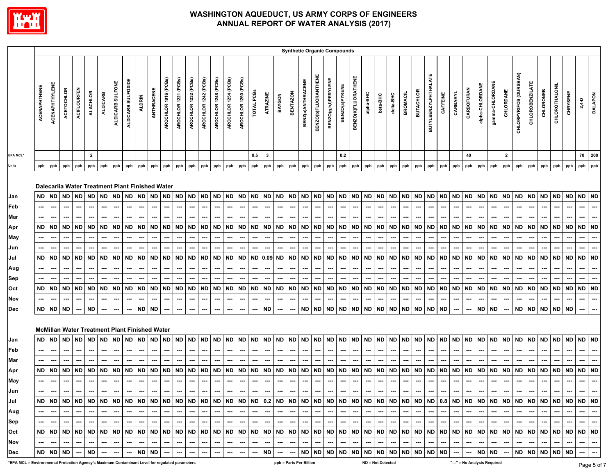

|                                                                                                 |                          |                |            |                    |                         |                 |                  |                    |               |                                                      |                      |                      |                      |                      |                      |                      |                          |            |              |           |                 |                         |                             | <b>Synthetic Organic Compounds</b> |                |                     |           |                   |           |                 |                  |                             |           |           |                              |                          |                 |                |                        |                        |           |                |           |           |                |
|-------------------------------------------------------------------------------------------------|--------------------------|----------------|------------|--------------------|-------------------------|-----------------|------------------|--------------------|---------------|------------------------------------------------------|----------------------|----------------------|----------------------|----------------------|----------------------|----------------------|--------------------------|------------|--------------|-----------|-----------------|-------------------------|-----------------------------|------------------------------------|----------------|---------------------|-----------|-------------------|-----------|-----------------|------------------|-----------------------------|-----------|-----------|------------------------------|--------------------------|-----------------|----------------|------------------------|------------------------|-----------|----------------|-----------|-----------|----------------|
|                                                                                                 | ACENAPHTHENE             | ACENAPHTHYLENE | ACETOCHLOR | <b>ACIFLOURFEN</b> | <b>ALACHLOR</b>         | <b>ALDICARB</b> | ALDICARB SULFONE | ALDICARB SULFOXIDE | <b>ALDRIN</b> | ANTHRACENE                                           | AROCHLOR 1016 (PCBs) | AROCHLOR 1221 (PCBs) | AROCHLOR 1232 (PCBs) | AROCHLOR 1242 (PCBs) | AROCHLOR 1248 (PCBs) | AROCHLOR 1254 (PCBs) | AROCHLOR 1260 (PCBs)     | TOTAL PCBS | ATRAZINE     | BAYGON    | <b>BENTAZON</b> | BENZ(a)ANTHRACENE       | <b>BENZO(b)FLUORANTHENE</b> | <b>BENZO(g,h,i)PERYLENE</b>        | BENZO(a)PYRENE | BENZO(K)FLUORATHENE | alpha-BHC | beta-BHC          | delta-BHC | <b>BROMACIL</b> | <b>BUTACHLOR</b> | <b>BUTYLBENZYLPHTHALATE</b> | CAFFEINE  | CARBARYL  | <b>CARBOFURAN</b>            | alpha-CHLORDANE          | gamma-CHLORDANE | CHLORDANE      | CHLORPYRIFOS (DURSBAN) | <b>CHLOROBENZILATE</b> | CHLORONEB | CHLOROTHALONIL | CHRYSENE  | $2,4-D$   | <b>DALAPON</b> |
| <b>EPA MCL*</b>                                                                                 |                          |                |            |                    | $\overline{\mathbf{2}}$ |                 |                  |                    |               |                                                      |                      |                      |                      |                      |                      |                      |                          | 0.5        | $\mathbf{3}$ |           |                 |                         |                             |                                    | 0.2            |                     |           |                   |           |                 |                  |                             |           |           | 40                           |                          |                 | $\overline{2}$ |                        |                        |           |                |           | 70        | 200            |
| <b>Units</b>                                                                                    | ppb                      | ppb            | ppb        | ppb                | ppb                     | ppb             | ppb              | ppb                | ppb           | ppb                                                  | ppb                  | ppb                  | ppb                  | ppb                  | ppb                  | ppb                  | ppb                      | ppb        | ppb          | ppb       | ppb             | ppb                     | ppb                         | ppb                                | ppb            | ppb                 | ppb       | ppb               | ppb       | ppb             | ppb              | ppb                         | ppb       | ppb       | ppb                          | ppb                      | ppb             | ppb            | ppb                    | ppb                    | ppb       | ppb            | ppb       | ppb       | ppb            |
|                                                                                                 |                          |                |            |                    |                         |                 |                  |                    |               | Dalecarlia Water Treatment Plant Finished Water      |                      |                      |                      |                      |                      |                      |                          |            |              |           |                 |                         |                             |                                    |                |                     |           |                   |           |                 |                  |                             |           |           |                              |                          |                 |                |                        |                        |           |                |           |           |                |
| Jan                                                                                             | <b>ND</b>                | <b>ND</b>      | <b>ND</b>  | ND                 | <b>ND</b>               | <b>ND</b>       | <b>ND</b>        | <b>ND</b>          | <b>ND</b>     | <b>ND</b>                                            | <b>ND</b>            | <b>ND</b>            | $\sf ND$             | $\sf ND$             | $\sf ND$             |                      | ND ND                    | <b>ND</b>  | <b>ND</b>    | <b>ND</b> | <b>ND</b>       | $\sf ND$                | <b>ND</b>                   | <b>ND</b>                          | <b>ND</b>      | $\sf ND$            | <b>ND</b> |                   | ND ND     | <b>ND</b>       | <b>ND</b>        | $\sf ND$                    | <b>ND</b> | <b>ND</b> | <b>ND</b>                    | <b>ND</b>                | <b>ND</b>       | <b>ND</b>      | <b>ND</b>              | <b>ND</b>              | <b>ND</b> | ${\sf ND}$     | <b>ND</b> | <b>ND</b> | <b>ND</b>      |
| Feb                                                                                             |                          |                |            |                    |                         |                 |                  |                    |               |                                                      |                      |                      |                      |                      |                      |                      |                          |            |              |           |                 |                         |                             |                                    |                |                     |           |                   |           |                 |                  |                             |           |           |                              |                          |                 |                |                        |                        |           |                |           |           |                |
| Mar                                                                                             | ---                      | ---            |            | ---                |                         |                 |                  |                    |               |                                                      |                      |                      |                      | ---                  | ---                  |                      |                          |            |              |           | ⊷               |                         | ---                         |                                    | ---            |                     |           | ---               |           |                 |                  |                             | ---       |           | ---                          |                          |                 |                |                        |                        |           |                |           |           |                |
| Apr                                                                                             | ND                       | <b>ND</b>      | <b>ND</b>  | ND                 | <b>ND</b>               | <b>ND</b>       | <b>ND</b>        | <b>ND</b>          | <b>ND</b>     | <b>ND</b>                                            | <b>ND</b>            | <b>ND</b>            | <b>ND</b>            | <b>ND</b>            | <b>ND</b>            | ND                   | ND                       | <b>ND</b>  | <b>ND</b>    | <b>ND</b> | <b>ND</b>       | <b>ND</b>               | <b>ND</b>                   | <b>ND</b>                          | <b>ND</b>      | <b>ND</b>           | <b>ND</b> | <b>ND</b>         | ND        | <b>ND</b>       | <b>ND</b>        | <b>ND</b>                   | <b>ND</b> | ND        | <b>ND</b>                    | <b>ND</b>                | <b>ND</b>       | ND             | <b>ND</b>              | ND                     | ND        | <b>ND</b>      | <b>ND</b> | <b>ND</b> | <b>ND</b>      |
| May                                                                                             |                          | ---            |            |                    |                         |                 |                  | ---                |               | --                                                   |                      |                      |                      |                      | ---                  |                      |                          |            |              |           |                 |                         |                             |                                    |                |                     |           |                   |           |                 |                  |                             |           |           |                              |                          |                 |                |                        |                        |           |                |           |           |                |
| Jun                                                                                             | ---                      | ---            | ---        | ---                | ---                     | ---             | ---              | ---                | ---           | ---                                                  |                      |                      | ---                  | ---                  | ---                  | ---                  |                          |            | ---          | ---       | ---             | …                       |                             | ---                                | ---            | ---                 | ---       | ---               | ---       | ---             | ---              | ---                         | ---       | ---       |                              | ---                      | ---             |                | ---                    | ---                    |           | ---            | ---       | …         | ---            |
| Jul                                                                                             | <b>ND</b>                | <b>ND</b>      | <b>ND</b>  | <b>ND</b>          | <b>ND</b>               | <b>ND</b>       | <b>ND</b>        | <b>ND</b>          | <b>ND</b>     | <b>ND</b>                                            | <b>ND</b>            | <b>ND</b>            | <b>ND</b>            | <b>ND</b>            | <b>ND</b>            | <b>ND</b>            | <b>ND</b>                | <b>ND</b>  | $0.09$ ND    |           | <b>ND</b>       | <b>ND</b>               | <b>ND</b>                   | <b>ND</b>                          | <b>ND</b>      | <b>ND</b>           | <b>ND</b> | <b>ND</b>         | <b>ND</b> | <b>ND</b>       | <b>ND</b>        | <b>ND</b>                   | <b>ND</b> | <b>ND</b> | <b>ND</b>                    | <b>ND</b>                | <b>ND</b>       | <b>ND</b>      | <b>ND</b>              | <b>ND</b>              | <b>ND</b> | <b>ND</b>      | <b>ND</b> | <b>ND</b> | <b>ND</b>      |
| Aug                                                                                             | ---                      | ---            | ---        | ---                | ---                     | ---             | ---              | ---                | ---           | ---                                                  | ---                  | ---                  | ---                  | ---                  | ---                  | ---                  | ---                      | ---        | ---          | ---       | ---             | ---                     | ---                         | ---                                | ---            | ---                 | ---       | ---               | ---       | ---             | ---              | ---                         | ---       | ---       | ---                          | ---                      | ---             | ---            | ---                    | ---                    | ---       | ---            | ---       | ---       | ---            |
| Sep                                                                                             | ---                      | ---            |            |                    |                         |                 |                  | ---                | ---           | -−                                                   | ---                  |                      |                      | ---                  | ---                  |                      |                          |            |              | ---       | ---             |                         |                             |                                    | ---            |                     | ---       | ---               |           | ---             |                  |                             | ---       | ---       |                              |                          | ---             |                |                        | ---                    |           |                |           |           |                |
| Oct                                                                                             | ND                       | <b>ND</b>      | <b>ND</b>  | <b>ND</b>          | <b>ND</b>               | ND              | <b>ND</b>        | <b>ND</b>          | <b>ND</b>     | <b>ND</b>                                            | <b>ND</b>            | <b>ND</b>            | <b>ND</b>            | <b>ND</b>            | <b>ND</b>            | <b>ND</b>            | <b>ND</b>                | ND         | <b>ND</b>    | <b>ND</b> | <b>ND</b>       | <b>ND</b>               | <b>ND</b>                   | <b>ND</b>                          | ND             | <b>ND</b>           | <b>ND</b> | ND                | <b>ND</b> | <b>ND</b>       | ND               | <b>ND</b>                   | <b>ND</b> | <b>ND</b> | <b>ND</b>                    | <b>ND</b>                | ND              | <b>ND</b>      | <b>ND</b>              | <b>ND</b>              | ND        | <b>ND</b>      | <b>ND</b> | <b>ND</b> | <b>ND</b>      |
| Nov                                                                                             | ---                      | ---            | ---        | ---                | ---                     | ---             | ---              | ---                | ---           | ---                                                  | ---                  | ---                  | ---                  | ---                  | ---                  | ---                  | ---                      | ---        | ---          | ---       | ---             | ---                     | ---                         | ---                                | ---            | ---                 | ---       | ---               | ---       | ---             | ---              | ---                         | ---       | ---       | ---                          | $\overline{\phantom{a}}$ | ---             | ---            | ---                    | ---                    |           | ---            | ---       | ---       |                |
| <b>Dec</b>                                                                                      | ND                       | <b>ND</b>      | <b>ND</b>  | ---                | <b>ND</b>               |                 |                  | ---                | ND.           | <b>ND</b>                                            |                      |                      |                      | ---                  |                      |                      |                          |            | <b>ND</b>    | ---       | ---             | ND                      | <b>ND</b>                   | <b>ND</b>                          | <b>ND</b>      | <b>ND</b>           | <b>ND</b> | <b>ND</b>         | ND        | <b>ND</b>       | <b>ND</b>        | <b>ND</b>                   | <b>ND</b> | ---       |                              | <b>ND</b>                | <b>ND</b>       |                | <b>ND</b>              | <b>ND</b>              | <b>ND</b> | <b>ND</b>      | <b>ND</b> |           |                |
|                                                                                                 |                          |                |            |                    |                         |                 |                  |                    |               | <b>McMillan Water Treatment Plant Finished Water</b> |                      |                      |                      |                      |                      |                      |                          |            |              |           |                 |                         |                             |                                    |                |                     |           |                   |           |                 |                  |                             |           |           |                              |                          |                 |                |                        |                        |           |                |           |           |                |
| Jan                                                                                             | ND                       | <b>ND</b>      | <b>ND</b>  | ND                 | <b>ND</b>               | ND              | <b>ND</b>        | <b>ND</b>          | <b>ND</b>     | <b>ND</b>                                            | <b>ND</b>            | <b>ND</b>            | $\sf ND$             | <b>ND</b>            | <b>ND</b>            | <b>ND</b>            | <b>ND</b>                | <b>ND</b>  | <b>ND</b>    | <b>ND</b> | <b>ND</b>       | <b>ND</b>               | <b>ND</b>                   | <b>ND</b>                          | <b>ND</b>      | <b>ND</b>           | <b>ND</b> | <b>ND</b>         | <b>ND</b> | <b>ND</b>       | <b>ND</b>        | <b>ND</b>                   | <b>ND</b> | <b>ND</b> | <b>ND</b>                    | <b>ND</b>                | <b>ND</b>       | <b>ND</b>      | <b>ND</b>              | <b>ND</b>              | <b>ND</b> | <b>ND</b>      | <b>ND</b> | <b>ND</b> | <b>ND</b>      |
| Feb                                                                                             | $\overline{\phantom{a}}$ | ---            | ---        | ---                | ---                     | ---             | ---              | ---                | ---           | ---                                                  | ---                  | ---                  | ---                  | ---                  | ---                  | ---                  | $\overline{\phantom{a}}$ | ---        | ---          | ---       | ---             | ---                     |                             | ---                                | ---            | ---                 | ---       | ---               | ---       | ---             | ---              | ---                         | ---       | ---       | ---                          | ---                      | ---             | ---            | ---                    | ---                    | ---       | ---            | ---       | ---       | ---            |
| <b>Mar</b>                                                                                      |                          |                |            |                    |                         |                 |                  |                    |               |                                                      |                      |                      |                      |                      |                      |                      |                          |            |              |           |                 |                         |                             |                                    |                |                     |           |                   |           |                 |                  |                             |           |           |                              |                          |                 |                |                        |                        |           |                |           |           |                |
| Apr                                                                                             | <b>ND</b>                | <b>ND</b>      | <b>ND</b>  |                    | ND ND                   | <b>ND</b>       | <b>ND</b>        | <b>ND</b>          | $\sf ND$      | <b>ND</b>                                            | <b>ND</b>            | <b>ND</b>            | ${\sf ND}$           | <b>ND</b>            | <b>ND</b>            |                      | ND ND                    | <b>ND</b>  | <b>ND</b>    | <b>ND</b> | $\sf ND$        | <b>ND</b>               | <b>ND</b>                   | <b>ND</b>                          | <b>ND</b>      | ${\sf ND}$          | <b>ND</b> | <b>ND</b>         | <b>ND</b> | <b>ND</b>       | <b>ND</b>        | <b>ND</b>                   | <b>ND</b> | <b>ND</b> | <b>ND</b>                    | <b>ND</b>                | <b>ND</b>       | <b>ND</b>      | <b>ND</b>              | <b>ND</b>              | <b>ND</b> | <b>ND</b>      | <b>ND</b> | <b>ND</b> | <b>ND</b>      |
| <b>May</b>                                                                                      |                          | ---            | ---        |                    | ---                     |                 |                  | ---                | ---           | ---                                                  | ---                  |                      | ---                  | ---                  | ---                  | ---                  | ---                      | ---        | ---          | ---       | ---             | ---                     | ---                         | ---                                | ---            |                     | ---       | ---               | ---       | ---             | ---              | ---                         | ---       | ---       | ---                          | ---                      | ---             | ---            | ---                    | ---                    |           | ---            | ---       |           |                |
| Jun                                                                                             | ---                      | ↔              |            |                    | ---                     |                 |                  |                    | ---           | ⊷                                                    |                      | ⊷                    |                      | ---                  | ---                  |                      |                          |            |              |           |                 |                         |                             |                                    |                |                     |           |                   |           |                 | ---              |                             |           |           |                              |                          |                 |                |                        |                        |           |                |           |           |                |
| Jul                                                                                             | ND                       | <b>ND</b>      | <b>ND</b>  |                    | ND ND                   | <b>ND</b>       | <b>ND</b>        | <b>ND</b>          | ND            | <b>ND</b>                                            | <b>ND</b>            | <b>ND</b>            | ND                   | <b>ND</b>            | <b>ND</b>            | <b>ND</b>            | <b>ND</b>                | <b>ND</b>  | 0.2          | <b>ND</b> | <b>ND</b>       | <b>ND</b>               | <b>ND</b>                   | ND                                 | <b>ND</b>      | <b>ND</b>           | <b>ND</b> | <b>ND</b>         | <b>ND</b> | $\sf ND$        | <b>ND</b>        | <b>ND</b>                   | 0.8       | <b>ND</b> | <b>ND</b>                    | <b>ND</b>                | <b>ND</b>       | <b>ND</b>      | <b>ND</b>              | <b>ND</b>              | <b>ND</b> | <b>ND</b>      | <b>ND</b> | <b>ND</b> | <b>ND</b>      |
| Aug                                                                                             |                          |                |            |                    |                         |                 |                  |                    |               |                                                      |                      |                      |                      |                      | ---                  |                      |                          |            |              |           |                 |                         |                             |                                    |                |                     | ---       |                   |           |                 |                  |                             |           |           |                              |                          |                 |                | ---                    |                        |           |                |           | ---       | ---            |
| Sep                                                                                             | ---                      | ---            |            | ---                |                         | ---             |                  | ---                | ---           | ⊷                                                    | ---                  |                      | ---                  | ---                  | ---                  | ---                  |                          | ---        | ---          | ---       | ---             |                         | ---                         |                                    | ---            |                     | ---       | ---               | ---       | ---             |                  | ---                         | ---       | ---       | ---                          |                          | ---             | ---            | ---                    | ---                    |           | ---            | ---       | ---       | ---            |
| Oct                                                                                             | ND                       | <b>ND</b>      | <b>ND</b>  |                    | ND ND                   | <b>ND</b>       | <b>ND</b>        | <b>ND</b>          | <b>ND</b>     | <b>ND</b>                                            | <b>ND</b>            | <b>ND</b>            | <b>ND</b>            | <b>ND</b>            | <b>ND</b>            | ND                   | <b>ND</b>                | <b>ND</b>  | <b>ND</b>    | <b>ND</b> | <b>ND</b>       | <b>ND</b>               | <b>ND</b>                   | <b>ND</b>                          | <b>ND</b>      |                     | ND ND     | <b>ND</b>         | <b>ND</b> | <b>ND</b>       | <b>ND</b>        | ND                          | ND ND     |           | <b>ND</b>                    | <b>ND</b>                | <b>ND</b>       |                | ND ND                  | <b>ND</b>              | <b>ND</b> | $\sf ND$       | <b>ND</b> | <b>ND</b> | <b>ND</b>      |
| Nov                                                                                             |                          |                |            | ---                | ---                     | ---             |                  | ---                | ---           | ---                                                  | ---                  |                      |                      | ---                  | ---                  | ---                  | ---                      |            |              | ---       | ---             | ⊷                       |                             |                                    | ---            |                     | …         | ---               | ---       | ---             | ---              | ---                         | ---       | ⊷         |                              |                          | ---             |                | …                      | ---                    |           |                | ---       | ---       | ---            |
| Dec                                                                                             | ND                       | <b>ND</b>      | ND         | --                 | ND                      |                 | ---              | ---                | ND            | <b>ND</b>                                            | ---                  | ---                  | ---                  | ---                  | ---                  | ---                  | ---                      | ---        | ${\sf ND}$   |           | ---             | ND                      | <b>ND</b>                   | <b>ND</b>                          | <b>ND</b>      | $\sf ND$            | <b>ND</b> | <b>ND</b>         | <b>ND</b> | <b>ND</b>       | <b>ND</b>        | <b>ND</b>                   | <b>ND</b> | ---       |                              | <b>ND</b>                | <b>ND</b>       | ---            | <b>ND</b>              | <b>ND</b>              | <b>ND</b> | ND ND          |           | ---       | ---            |
| *EPA MCL = Environmental Protection Agency's Maximum Contaminant Level for regulated parameters |                          |                |            |                    |                         |                 |                  |                    |               |                                                      |                      |                      |                      |                      |                      |                      |                          |            |              |           |                 | ppb = Parts Per Billion |                             |                                    |                |                     |           | ND = Not Detected |           |                 |                  |                             |           |           | "---" = No Analysis Required |                          |                 |                |                        |                        |           |                |           |           | Page 5 o       |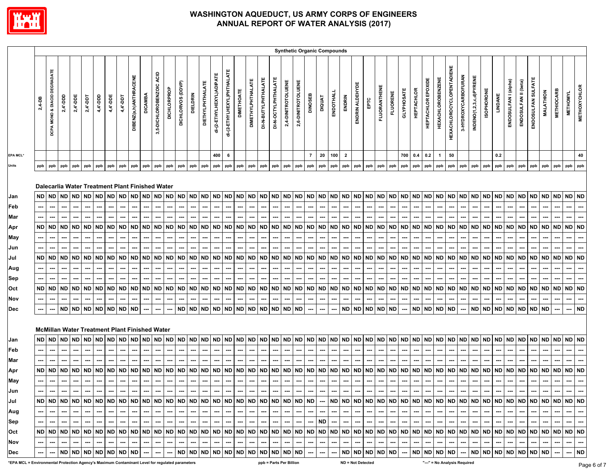

|                 |          |                              |                                                              |                          |           |                          |          |              |                       |                |                             |                          |                          |                                                          |                         |                          |                            |                          |                          |                            |                            |                          |                          |                          | <b>Synthetic Organic Compounds</b> |                          |                          |                          |                          |                     |                          |                   |                          |                       |                                                                                                                                                                                                                                                                                                                                                                                                                                         |                                  |                          |                         |                   |           |                          |                          |                             |                          |                          |                          |                          |
|-----------------|----------|------------------------------|--------------------------------------------------------------|--------------------------|-----------|--------------------------|----------|--------------|-----------------------|----------------|-----------------------------|--------------------------|--------------------------|----------------------------------------------------------|-------------------------|--------------------------|----------------------------|--------------------------|--------------------------|----------------------------|----------------------------|--------------------------|--------------------------|--------------------------|------------------------------------|--------------------------|--------------------------|--------------------------|--------------------------|---------------------|--------------------------|-------------------|--------------------------|-----------------------|-----------------------------------------------------------------------------------------------------------------------------------------------------------------------------------------------------------------------------------------------------------------------------------------------------------------------------------------------------------------------------------------------------------------------------------------|----------------------------------|--------------------------|-------------------------|-------------------|-----------|--------------------------|--------------------------|-----------------------------|--------------------------|--------------------------|--------------------------|--------------------------|
|                 | $2,4-DB$ | DCPA MONO & DIACID DEGRADATE | $2,4$ '-DDD                                                  | 2,4'-DDE                 | 2,4-DDT   | 4,4'-DDD                 | 4,4'-DDE | 4,4'-DDT     | DIBENZ(a,h)ANTHRACENE | <b>DICAMBA</b> | ACID<br>3,5-DICHLOROBENZOIC | DICHLORPROP              | DICHLORVOS (DDVP)        | <b>DIELDRIN</b>                                          | <b>DIETHYLPHTHALATE</b> | di-(2-ETHYLHEXYL)ADIPATE | di-(2-ETHYLHEXYL)PHTHALATE | <b>DIMETHOATE</b>        | <b>DIMETHYLPHTHALATE</b> | DI-N-BUTYLPHTHALATE        | DI-N-OCTYLPHTHALATE        | 2,4-DINITROTOLUENE       | 2,6-DINITROTOLUENE       | DINOSEB                  | DIQUAT                             | ENDOTHALL                | ENDRIN                   | ENDRIN ALDEHYDE          |                          | <b>FLUORANTHENE</b> | <b>FLUORENE</b>          | <b>GLYPHOSATE</b> | <b>HEPTACHLOR</b>        | HEPTACHLOR EPOXIDE    | <b>HEXACHLOROBENZENE</b>                                                                                                                                                                                                                                                                                                                                                                                                                | <b>HEXACHLOROCYCLOPENTADIENE</b> | 3-HYDROXYCARBOFURAN      | INDENO(1,2,3,c,d)PYRENE | <b>ISOPHORONE</b> | LINDANE   | ENDOSULFAN I (alpha)     | ENDOSULFAN II (beta)     | ENDOSULFAN SULFATE          | <b>MALATHION</b>         | <b>METHIOCARB</b>        | <b>METHOMYL</b>          | <b>METHOXYCHLOR</b>      |
| <b>EPA MCL*</b> |          |                              |                                                              |                          |           |                          |          |              |                       |                |                             |                          |                          |                                                          |                         | 400                      | 6                          |                          |                          |                            |                            |                          |                          | $\overline{7}$           | 20                                 | 100                      | $\overline{\mathbf{2}}$  |                          |                          |                     |                          | 700 0.4           |                          | 0.2                   | $\mathbf{1}$                                                                                                                                                                                                                                                                                                                                                                                                                            | 50                               |                          |                         |                   | 0.2       |                          |                          |                             |                          |                          |                          | 40                       |
| Units           | ppb      | ppb                          | ppb                                                          | ppb                      | ppb       | ppb                      | ppb      | ppb          | ppb                   | ppb            | ppb                         | ppb                      | ppb                      | ppb                                                      | ppb                     | ppb                      | ppb                        | ppb                      | ppb                      | ppb                        | ppb                        | ppb                      | ppb                      | ppb                      | ppb                                | ppb                      | ppb                      | ppb                      | ppb                      | ppb                 | ppb                      | ppb               | ppb                      | ppb                   | ppb                                                                                                                                                                                                                                                                                                                                                                                                                                     | ppb                              | ppb                      | ppb                     | ppb               | ppb       | ppb                      | ppb                      | ppb                         | ppb                      | ppb                      | ppb                      | ppb                      |
| Jan             | ND.      | <b>ND</b>                    | Dalecarlia Water Treatment Plant Finished Water<br><b>ND</b> | <b>ND</b>                | <b>ND</b> | <b>ND</b>                |          | ND ND        | <b>ND</b>             | <b>ND</b>      | <b>ND</b>                   | ND                       | <b>ND</b>                | <b>ND</b>                                                | ND.                     | <b>ND</b>                | <b>ND</b>                  | <b>ND</b>                | ND ND                    |                            | <b>ND</b>                  | <b>ND</b>                | <b>ND</b>                | <b>ND</b>                |                                    |                          | ND ND ND                 | <b>ND</b>                | <b>ND</b>                | <b>ND</b>           | <b>ND</b>                |                   |                          | ND ND ND ND           |                                                                                                                                                                                                                                                                                                                                                                                                                                         | ND ND                            |                          | <b>ND</b>               | <b>ND</b>         |           | ND ND                    | ND.                      | ND                          | <b>ND</b>                | <b>ND</b>                | <b>ND ND</b>             |                          |
| Feb             |          |                              |                                                              |                          |           |                          |          |              |                       |                |                             |                          |                          |                                                          |                         |                          |                            |                          |                          |                            |                            |                          |                          |                          |                                    |                          |                          |                          |                          |                     |                          |                   |                          |                       |                                                                                                                                                                                                                                                                                                                                                                                                                                         |                                  |                          |                         |                   |           |                          |                          |                             |                          |                          |                          |                          |
| Mar             |          |                              | ---                                                          | ⊷                        |           |                          |          |              | ---                   | ---            | ---                         |                          |                          |                                                          |                         |                          | ---                        |                          | ---                      |                            | ---                        | ---                      | ---                      | ---                      | ---                                | ---                      |                          | ---                      | ---                      | ---                 |                          | ---               |                          | ⊷                     | ---                                                                                                                                                                                                                                                                                                                                                                                                                                     | ---                              |                          |                         |                   |           |                          |                          |                             |                          |                          | ---                      |                          |
| Apr             |          | ND   ND                      | <b>ND</b>                                                    | <b>ND</b>                | <b>ND</b> | ND                       | ND       | ND           | ND                    | <b>ND</b>      | ND                          | ND                       | ND                       | ND.                                                      | ND.                     | <b>ND</b>                | <b>ND</b>                  | <b>ND</b>                | <b>ND</b>                | <b>ND</b>                  | <b>ND</b>                  | <b>ND</b>                | <b>ND</b>                | <b>ND</b>                | <b>ND</b>                          | <b>ND</b>                | <b>ND</b>                | <b>ND</b>                | <b>ND</b>                | <b>ND</b>           | <b>ND</b>                | ND ND             |                          | ND I                  | ND.                                                                                                                                                                                                                                                                                                                                                                                                                                     | <b>ND</b>                        | <b>ND</b>                | ND                      | <b>ND</b>         | ND.       | ND                       | ND.                      | <b>ND</b>                   | <b>ND</b>                | <b>ND</b>                | <b>ND</b>                | <b>ND</b>                |
| May             |          |                              | ---                                                          | ---                      |           |                          |          | ---          | ---                   | ---            | ---                         | ---                      |                          |                                                          |                         |                          |                            | ---                      | ---                      |                            | ---                        | ---                      | ---                      | ---                      | ---                                | ---                      |                          |                          |                          | ---                 | ---                      | ---               | ---                      |                       | ---                                                                                                                                                                                                                                                                                                                                                                                                                                     |                                  | ---                      |                         |                   |           |                          |                          |                             |                          |                          |                          |                          |
| Jun             |          |                              |                                                              |                          |           |                          |          |              |                       |                |                             |                          |                          |                                                          |                         |                          |                            |                          |                          |                            |                            |                          |                          |                          |                                    |                          |                          |                          |                          |                     |                          |                   |                          |                       |                                                                                                                                                                                                                                                                                                                                                                                                                                         |                                  |                          |                         |                   |           |                          |                          |                             |                          |                          |                          |                          |
| Jul             |          | ND ND                        | <b>ND</b>                                                    | <b>ND</b>                |           | ND ND                    |          | ND ND        | <b>ND</b>             | <b>ND</b>      | ND                          | <b>ND</b>                | ND ND                    |                                                          | ND.                     | <b>ND</b>                | <b>ND</b>                  | <b>ND</b>                | ND ND ND                 |                            |                            | <b>ND</b>                | <b>ND</b>                | <b>ND</b>                | <b>ND</b>                          | ND ND                    |                          | <b>ND</b>                | <b>ND</b>                | <b>ND</b>           | <b>ND</b>                |                   |                          | ND ND ND ND           |                                                                                                                                                                                                                                                                                                                                                                                                                                         | ND ND                            |                          | <b>ND</b>               | <b>ND</b>         | ND I      | <b>ND</b>                | <b>ND</b>                | <b>ND</b>                   | <b>ND</b>                | <b>ND</b>                | ND                       | <b>ND</b>                |
| Aug             |          | ---                          | ---                                                          | ---                      | ---       | ---                      | ---      | ---          | ---                   | ---            | ---                         | ---                      | ---                      | ---                                                      | ---                     | ---                      | ---                        | ---                      | ---                      | ---                        | ---                        | ---                      | ---                      | ---                      | ---                                | ---                      | ---                      | ---                      | ---                      | ---                 | ---                      | ---               | ---                      | ---                   | ---                                                                                                                                                                                                                                                                                                                                                                                                                                     | ---                              | ---                      | ---                     | ---               | ---       |                          |                          |                             | ---                      | ---                      | ---                      | ---                      |
| Sep             |          |                              |                                                              |                          |           |                          |          |              | ---                   |                | ---                         |                          |                          |                                                          |                         |                          |                            |                          |                          |                            |                            |                          |                          |                          |                                    |                          |                          |                          |                          |                     |                          |                   |                          |                       |                                                                                                                                                                                                                                                                                                                                                                                                                                         |                                  |                          |                         |                   |           |                          |                          |                             |                          |                          |                          |                          |
| Oct             | ND       | <b>ND</b>                    | <b>ND</b>                                                    | <b>ND</b>                | <b>ND</b> | ND                       | ND       | ND           | ND                    | <b>ND</b>      | ND                          | <b>ND</b>                | <b>ND</b>                | ND.                                                      | <b>ND</b>               | ND                       | <b>ND</b>                  | <b>ND</b>                | <b>ND</b>                | <b>ND</b>                  | <b>ND</b>                  | <b>ND</b>                | <b>ND</b>                | <b>ND</b>                | <b>ND</b>                          | <b>ND</b>                | <b>ND</b>                | <b>ND</b>                | <b>ND</b>                | <b>ND</b>           | <b>ND</b>                |                   | ND ND                    | <b>ND</b>             | ND                                                                                                                                                                                                                                                                                                                                                                                                                                      | ND                               | <b>ND</b>                | <b>ND</b>               | <b>ND</b>         | ND.       | ND                       |                          | <b>ND</b>                   | <b>ND</b>                | <b>ND</b>                | <b>ND</b>                | <b>ND</b>                |
| Nov             |          |                              |                                                              |                          |           |                          |          |              |                       |                |                             |                          |                          |                                                          |                         |                          |                            |                          |                          |                            |                            |                          |                          |                          | ---                                |                          |                          |                          |                          |                     |                          |                   |                          |                       |                                                                                                                                                                                                                                                                                                                                                                                                                                         |                                  |                          |                         |                   |           |                          |                          |                             |                          |                          |                          |                          |
| Dec             |          |                              | <b>ND</b>                                                    | <b>ND</b>                | ND ND     |                          |          | <b>ND ND</b> | <b>ND</b>             |                |                             |                          | ND                       | ND ND                                                    |                         | <b>ND</b>                | <b>ND</b>                  | <b>ND</b>                |                          | ND ND ND                   |                            | <b>ND</b>                | <b>ND</b>                | ---                      | ---                                |                          | ND                       | <b>ND</b>                | <b>ND</b>                | <b>ND</b>           | <b>ND</b>                | ---               |                          |                       | ND ND ND ND                                                                                                                                                                                                                                                                                                                                                                                                                             |                                  | ---                      |                         | ND ND             | <b>ND</b> | <b>ND</b>                | ND.                      | <b>ND</b>                   | <b>ND</b>                |                          | …                        | <b>ND</b>                |
|                 |          |                              | <b>McMillan Water Treatment Plant Finished Water</b>         |                          |           |                          |          |              |                       |                |                             |                          |                          |                                                          |                         |                          |                            |                          |                          |                            |                            |                          |                          |                          |                                    |                          |                          |                          |                          |                     |                          |                   |                          |                       |                                                                                                                                                                                                                                                                                                                                                                                                                                         |                                  |                          |                         |                   |           |                          |                          |                             |                          |                          |                          |                          |
| Jan             | ND.      | <b>ND</b>                    | <b>ND</b>                                                    | <b>ND</b>                | <b>ND</b> |                          |          | ND ND ND     | ND I                  | <b>ND</b>      |                             | ND ND                    |                          | ND ND ND                                                 |                         | <b>ND</b>                | <b>ND</b>                  | <b>ND</b>                |                          | ND ND ND                   |                            | <b>ND</b>                | <b>ND</b>                | <b>ND</b>                | <b>ND</b>                          | <b>ND</b>                | <b>ND</b>                | <b>ND</b>                | <b>ND</b>                | <b>ND</b>           | <b>ND</b>                |                   |                          | ND ND ND ND           |                                                                                                                                                                                                                                                                                                                                                                                                                                         | ND                               | <b>ND</b>                | <b>ND</b>               | <b>ND</b>         | ND ND     |                          | ND.                      | <b>ND</b>                   | <b>ND</b>                | <b>ND</b>                | <b>ND ND</b>             |                          |
| Feb             |          |                              |                                                              |                          |           |                          |          |              |                       |                |                             |                          |                          |                                                          |                         |                          |                            |                          |                          |                            |                            |                          |                          |                          |                                    |                          |                          |                          |                          |                     |                          |                   |                          |                       |                                                                                                                                                                                                                                                                                                                                                                                                                                         |                                  |                          |                         |                   |           |                          |                          |                             |                          |                          |                          |                          |
| Mar             |          |                              |                                                              |                          |           |                          |          |              |                       |                |                             |                          |                          |                                                          |                         |                          |                            |                          |                          |                            |                            |                          |                          |                          |                                    |                          |                          |                          |                          |                     |                          |                   |                          |                       |                                                                                                                                                                                                                                                                                                                                                                                                                                         |                                  |                          |                         |                   |           |                          |                          |                             |                          |                          |                          |                          |
| Apr             |          | <b>ND ND</b>                 | <b>ND</b>                                                    | <b>ND</b>                | ND ND     |                          |          | ND ND        | ND                    | ND             | <b>ND</b>                   | <b>ND</b>                | <b>ND</b>                | <b>ND</b>                                                | ND                      | <b>ND</b>                | <b>ND</b>                  | <b>ND</b>                | <b>ND</b>                | ND ND                      |                            | <b>ND</b>                | <b>ND</b>                | <b>ND</b>                | <b>ND</b>                          | <b>ND</b>                | <b>ND</b>                | <b>ND</b>                | <b>ND</b>                | <b>ND</b>           | <b>ND</b>                | ND ND             |                          | ND ND                 |                                                                                                                                                                                                                                                                                                                                                                                                                                         | ND                               | <b>ND</b>                | <b>ND</b>               | <b>ND</b>         | <b>ND</b> | ND                       | ND                       | ND.                         | <b>ND</b>                | <b>ND</b>                | <b>ND</b>                | <b>ND</b>                |
| May             |          |                              |                                                              |                          |           |                          |          |              |                       |                |                             |                          |                          |                                                          |                         |                          |                            |                          |                          |                            |                            |                          |                          |                          |                                    |                          |                          |                          |                          |                     |                          |                   |                          |                       |                                                                                                                                                                                                                                                                                                                                                                                                                                         |                                  |                          |                         |                   |           |                          |                          |                             |                          |                          |                          |                          |
| Jun             |          |                              | ---                                                          |                          |           |                          |          |              |                       | ---            | ---                         | ---                      |                          | ---                                                      |                         | ---                      | ---                        | $\overline{\phantom{a}}$ |                          | ---                        |                            | ---                      |                          | ---                      |                                    |                          |                          |                          |                          | ---                 | ---                      |                   |                          |                       |                                                                                                                                                                                                                                                                                                                                                                                                                                         |                                  | ---                      |                         |                   |           |                          |                          |                             |                          |                          |                          |                          |
| Jul             |          |                              |                                                              |                          |           |                          |          |              |                       |                |                             |                          |                          |                                                          |                         |                          |                            |                          |                          |                            |                            |                          |                          |                          |                                    |                          |                          |                          |                          |                     |                          |                   |                          |                       |                                                                                                                                                                                                                                                                                                                                                                                                                                         |                                  |                          |                         |                   |           |                          |                          |                             |                          |                          |                          |                          |
| Aug             |          |                              |                                                              |                          |           |                          |          |              | $\sim$                |                | $\cdots$                    |                          | ---                      | …                                                        | $\overline{a}$          | $\frac{1}{2}$            | --- 1                      | $\sim$                   | $\frac{1}{2}$            | $\mathcal{L}_{\text{max}}$ | $\mathcal{L}_{\text{max}}$ | $\sim$                   | $\sim$                   | $\sim$                   | $\overline{\phantom{a}}$           | $\overline{\phantom{a}}$ | $\sim$                   | $\overline{\phantom{a}}$ | $\overline{\phantom{a}}$ | $\sim$              | $\sim$                   | $\sim$            |                          |                       | $\begin{array}{ccc} -\mathbf{1} & \mathbf{1} & \mathbf{1} & \mathbf{1} & \mathbf{1} \\ \mathbf{1} & \mathbf{1} & \mathbf{1} & \mathbf{1} & \mathbf{1} \\ \mathbf{1} & \mathbf{1} & \mathbf{1} & \mathbf{1} & \mathbf{1} \\ \mathbf{1} & \mathbf{1} & \mathbf{1} & \mathbf{1} & \mathbf{1} \\ \mathbf{1} & \mathbf{1} & \mathbf{1} & \mathbf{1} & \mathbf{1} \\ \mathbf{1} & \mathbf{1} & \mathbf{1} & \mathbf{1} & \mathbf{1} \\ \math$ | $\sim$                           | --- 1                    | $\sim$                  |                   | $---$     |                          |                          |                             |                          |                          |                          |                          |
| Sep             |          | ---                          | ---                                                          | $\hspace{0.05cm} \cdots$ | --- I     | $\hspace{0.05cm} \cdots$ |          | $-1 - 1 - 1$ |                       | --- 1          | $\overline{\phantom{a}}$    | --- 1                    | $\overline{\phantom{a}}$ | $\overline{\phantom{a}}$                                 | --- I                   | $-1$                     | $\sim$                     | $\sim$                   | $\sim$                   | $\sim$                     | $\sim$                     | المسا                    | $\hspace{0.05cm} \cdots$ | $\sim$                   | <b>ND</b>                          | $\cdots$                 | $\cdots$                 | $\sim$                   | $\sim$                   | $\cdots$            | $\sim$                   |                   |                          | ---   ---   ---   --- |                                                                                                                                                                                                                                                                                                                                                                                                                                         | $\sim$                           | $---$                    | $\sim$                  | $\sim$            | $\sim$    | $\sim$                   | $\sim$                   | $\cdots$                    | $\hspace{0.05cm} \ldots$ | $\cdots$                 | $\hspace{0.05cm} \cdots$ | $\sim$                   |
| Oct             |          |                              |                                                              |                          |           |                          |          |              |                       |                |                             |                          |                          |                                                          |                         |                          |                            |                          |                          |                            |                            |                          |                          |                          |                                    |                          |                          |                          |                          |                     |                          |                   |                          |                       |                                                                                                                                                                                                                                                                                                                                                                                                                                         |                                  |                          |                         |                   |           |                          |                          |                             |                          |                          |                          |                          |
| Nov             |          | ---                          | ---                                                          | $\hspace{0.05cm} \cdots$ | $\sim$    | $\sim$                   | ---      | $\sim$       | $\sim$                | $\sim$         | ---                         | $\cdots$                 | $\overline{\phantom{a}}$ | $\hspace{0.05cm} \cdots$                                 | ---                     | $\overline{\phantom{a}}$ | $\hspace{0.05cm} \cdots$   | $\hspace{0.05cm} \cdots$ | $\overline{\phantom{a}}$ | $\hspace{0.05cm} \cdots$   | $\sim$                     | $\overline{\phantom{a}}$ | $\overline{\phantom{a}}$ | $\overline{\phantom{a}}$ | $\overline{\phantom{a}}$           | ---                      | $\hspace{0.05cm} \cdots$ | ---                      | $\overline{\phantom{a}}$ | $\cdots$            | $\overline{\phantom{a}}$ | $\sim$            | $\overline{\phantom{a}}$ | --- 1                 | $\sim$                                                                                                                                                                                                                                                                                                                                                                                                                                  | ---                              | $\hspace{0.05cm} \cdots$ | ---                     | $\cdots$          | ---       | $\overline{\phantom{a}}$ | $\overline{\phantom{a}}$ | $\hspace{0.05cm} \cdots$    | $\sim$                   | $\hspace{0.05cm} \cdots$ | ---                      | $\hspace{0.05cm} \cdots$ |
| Dec             |          | ---                          | ND ND ND ND ND ND ND ND                                      |                          |           |                          |          |              |                       | $\sim$         | ---                         | $\hspace{0.05cm} \ldots$ |                          | $\log  ND $ ON $\log  ND $ ON $\log  ND $ ON $\log  ND $ |                         |                          |                            |                          |                          |                            |                            |                          |                          |                          | $\overline{\phantom{a}}$           | $\hspace{0.05cm}\ldots$  |                          |                          |                          |                     |                          |                   |                          |                       |                                                                                                                                                                                                                                                                                                                                                                                                                                         |                                  |                          |                         |                   |           |                          |                          | IND IND IND IND IND IND IND |                          | $\overline{\phantom{a}}$ | $\cdots$                 | <b>ND</b>                |

**\*EPA MCL = Environmental Protection Agency's Maximum Contaminant Level for regulated parameters ppb = Parts Per Billion ND = Not Detected "---" = No Analysis Required**